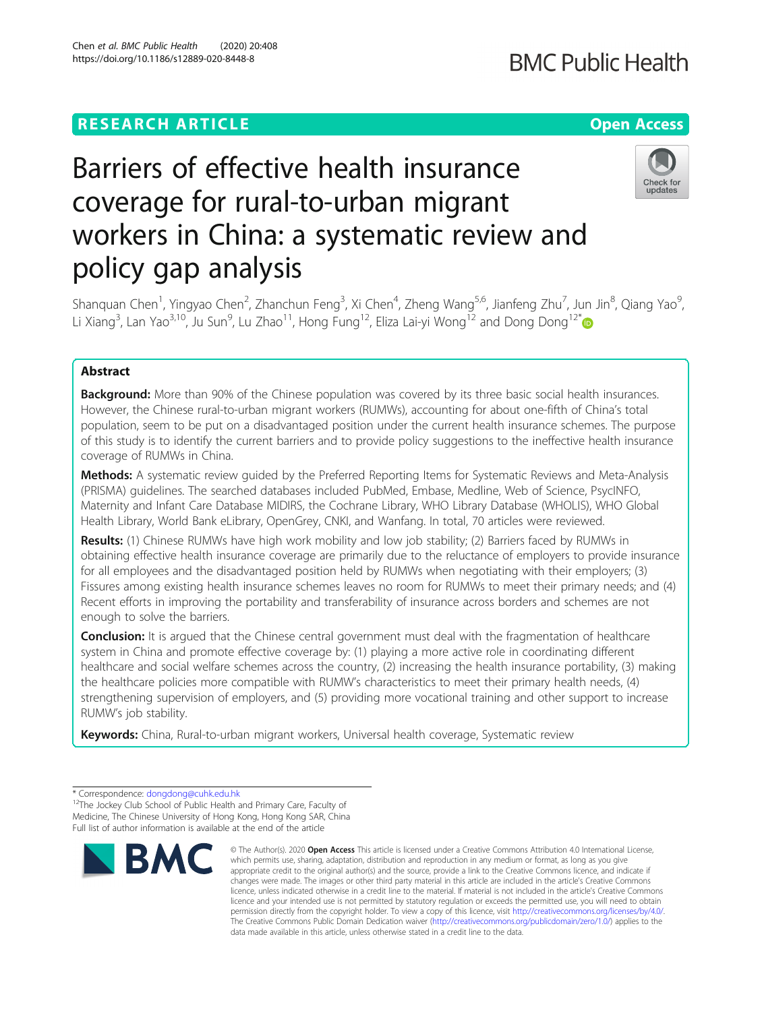# **RESEARCH ARTICLE Example 2014 12:30 The Contract of Contract ACCESS**

# Barriers of effective health insurance coverage for rural-to-urban migrant workers in China: a systematic review and policy gap analysis

Shanquan Chen<sup>1</sup>, Yingyao Chen<sup>2</sup>, Zhanchun Feng<sup>3</sup>, Xi Chen<sup>4</sup>, Zheng Wang<sup>5,6</sup>, Jianfeng Zhu<sup>7</sup>, Jun Jin<sup>8</sup>, Qiang Yao<sup>9</sup> , Li Xiang<sup>3</sup>, Lan Yao<sup>3,10</sup>, Ju Sun<sup>9</sup>, Lu Zhao<sup>11</sup>, Hong Fung<sup>12</sup>, Eliza Lai-yi Wong<sup>12</sup> and Dong Dong<sup>12\*</sup>

# Abstract

**Background:** More than 90% of the Chinese population was covered by its three basic social health insurances. However, the Chinese rural-to-urban migrant workers (RUMWs), accounting for about one-fifth of China's total population, seem to be put on a disadvantaged position under the current health insurance schemes. The purpose of this study is to identify the current barriers and to provide policy suggestions to the ineffective health insurance coverage of RUMWs in China.

Methods: A systematic review quided by the Preferred Reporting Items for Systematic Reviews and Meta-Analysis (PRISMA) guidelines. The searched databases included PubMed, Embase, Medline, Web of Science, PsycINFO, Maternity and Infant Care Database MIDIRS, the Cochrane Library, WHO Library Database (WHOLIS), WHO Global Health Library, World Bank eLibrary, OpenGrey, CNKI, and Wanfang. In total, 70 articles were reviewed.

Results: (1) Chinese RUMWs have high work mobility and low job stability; (2) Barriers faced by RUMWs in obtaining effective health insurance coverage are primarily due to the reluctance of employers to provide insurance for all employees and the disadvantaged position held by RUMWs when negotiating with their employers; (3) Fissures among existing health insurance schemes leaves no room for RUMWs to meet their primary needs; and (4) Recent efforts in improving the portability and transferability of insurance across borders and schemes are not enough to solve the barriers.

**Conclusion:** It is argued that the Chinese central government must deal with the fragmentation of healthcare system in China and promote effective coverage by: (1) playing a more active role in coordinating different healthcare and social welfare schemes across the country, (2) increasing the health insurance portability, (3) making the healthcare policies more compatible with RUMW's characteristics to meet their primary health needs, (4) strengthening supervision of employers, and (5) providing more vocational training and other support to increase RUMW's job stability.

Keywords: China, Rural-to-urban migrant workers, Universal health coverage, Systematic review



<sup>©</sup> The Author(s), 2020 **Open Access** This article is licensed under a Creative Commons Attribution 4.0 International License, which permits use, sharing, adaptation, distribution and reproduction in any medium or format, as long as you give appropriate credit to the original author(s) and the source, provide a link to the Creative Commons licence, and indicate if changes were made. The images or other third party material in this article are included in the article's Creative Commons licence, unless indicated otherwise in a credit line to the material. If material is not included in the article's Creative Commons licence and your intended use is not permitted by statutory regulation or exceeds the permitted use, you will need to obtain permission directly from the copyright holder. To view a copy of this licence, visit [http://creativecommons.org/licenses/by/4.0/.](http://creativecommons.org/licenses/by/4.0/) The Creative Commons Public Domain Dedication waiver [\(http://creativecommons.org/publicdomain/zero/1.0/](http://creativecommons.org/publicdomain/zero/1.0/)) applies to the data made available in this article, unless otherwise stated in a credit line to the data.



<sup>\*</sup> Correspondence: [dongdong@cuhk.edu.hk](mailto:dongdong@cuhk.edu.hk) 12The Jockey Club School of Public Health and Primary Care, Faculty of Medicine, The Chinese University of Hong Kong, Hong Kong SAR, China Full list of author information is available at the end of the article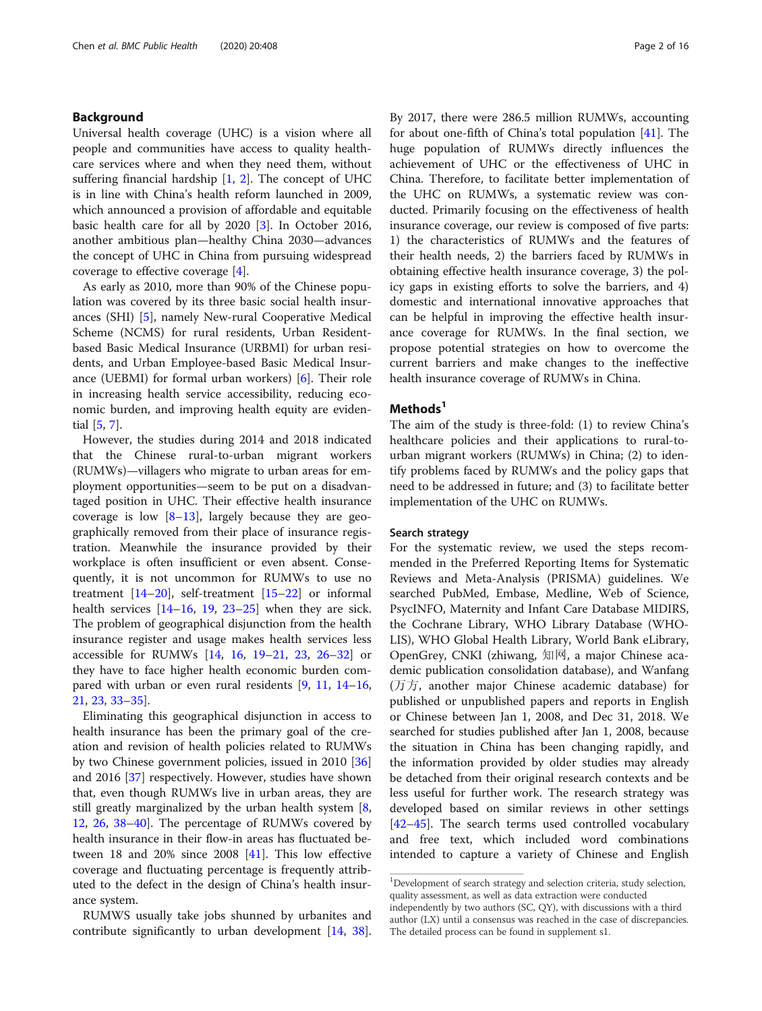# Background

Universal health coverage (UHC) is a vision where all people and communities have access to quality healthcare services where and when they need them, without suffering financial hardship  $[1, 2]$  $[1, 2]$  $[1, 2]$  $[1, 2]$  $[1, 2]$ . The concept of UHC is in line with China's health reform launched in 2009, which announced a provision of affordable and equitable basic health care for all by 2020 [\[3](#page-12-0)]. In October 2016, another ambitious plan—healthy China 2030—advances the concept of UHC in China from pursuing widespread coverage to effective coverage [[4\]](#page-12-0).

As early as 2010, more than 90% of the Chinese population was covered by its three basic social health insurances (SHI) [\[5\]](#page-12-0), namely New-rural Cooperative Medical Scheme (NCMS) for rural residents, Urban Residentbased Basic Medical Insurance (URBMI) for urban residents, and Urban Employee-based Basic Medical Insurance (UEBMI) for formal urban workers) [[6\]](#page-12-0). Their role in increasing health service accessibility, reducing economic burden, and improving health equity are evidential [\[5](#page-12-0), [7](#page-12-0)].

However, the studies during 2014 and 2018 indicated that the Chinese rural-to-urban migrant workers (RUMWs)—villagers who migrate to urban areas for employment opportunities—seem to be put on a disadvantaged position in UHC. Their effective health insurance coverage is low  $[8-13]$  $[8-13]$  $[8-13]$ , largely because they are geographically removed from their place of insurance registration. Meanwhile the insurance provided by their workplace is often insufficient or even absent. Consequently, it is not uncommon for RUMWs to use no treatment [\[14](#page-12-0)–[20\]](#page-12-0), self-treatment [\[15](#page-12-0)–[22\]](#page-12-0) or informal health services  $[14–16, 19, 23–25]$  $[14–16, 19, 23–25]$  $[14–16, 19, 23–25]$  $[14–16, 19, 23–25]$  $[14–16, 19, 23–25]$  $[14–16, 19, 23–25]$  $[14–16, 19, 23–25]$  $[14–16, 19, 23–25]$  $[14–16, 19, 23–25]$  $[14–16, 19, 23–25]$  when they are sick. The problem of geographical disjunction from the health insurance register and usage makes health services less accessible for RUMWs [\[14,](#page-12-0) [16](#page-12-0), [19](#page-12-0)–[21](#page-12-0), [23](#page-12-0), [26](#page-13-0)–[32](#page-13-0)] or they have to face higher health economic burden compared with urban or even rural residents [[9,](#page-12-0) [11,](#page-12-0) [14](#page-12-0)–[16](#page-12-0), [21,](#page-12-0) [23](#page-12-0), [33](#page-13-0)–[35](#page-13-0)].

Eliminating this geographical disjunction in access to health insurance has been the primary goal of the creation and revision of health policies related to RUMWs by two Chinese government policies, issued in 2010 [[36](#page-13-0)] and 2016 [[37](#page-13-0)] respectively. However, studies have shown that, even though RUMWs live in urban areas, they are still greatly marginalized by the urban health system [\[8](#page-12-0), [12,](#page-12-0) [26,](#page-13-0) [38](#page-13-0)–[40\]](#page-13-0). The percentage of RUMWs covered by health insurance in their flow-in areas has fluctuated between 18 and 20% since 2008 [[41](#page-13-0)]. This low effective coverage and fluctuating percentage is frequently attributed to the defect in the design of China's health insurance system.

RUMWS usually take jobs shunned by urbanites and contribute significantly to urban development [[14,](#page-12-0) [38](#page-13-0)].

By 2017, there were 286.5 million RUMWs, accounting for about one-fifth of China's total population [[41](#page-13-0)]. The huge population of RUMWs directly influences the achievement of UHC or the effectiveness of UHC in China. Therefore, to facilitate better implementation of the UHC on RUMWs, a systematic review was conducted. Primarily focusing on the effectiveness of health insurance coverage, our review is composed of five parts: 1) the characteristics of RUMWs and the features of their health needs, 2) the barriers faced by RUMWs in obtaining effective health insurance coverage, 3) the policy gaps in existing efforts to solve the barriers, and 4) domestic and international innovative approaches that can be helpful in improving the effective health insurance coverage for RUMWs. In the final section, we propose potential strategies on how to overcome the current barriers and make changes to the ineffective health insurance coverage of RUMWs in China.

# Methods<sup>1</sup>

The aim of the study is three-fold: (1) to review China's healthcare policies and their applications to rural-tourban migrant workers (RUMWs) in China; (2) to identify problems faced by RUMWs and the policy gaps that need to be addressed in future; and (3) to facilitate better implementation of the UHC on RUMWs.

#### Search strategy

For the systematic review, we used the steps recommended in the Preferred Reporting Items for Systematic Reviews and Meta-Analysis (PRISMA) guidelines. We searched PubMed, Embase, Medline, Web of Science, PsycINFO, Maternity and Infant Care Database MIDIRS, the Cochrane Library, WHO Library Database (WHO-LIS), WHO Global Health Library, World Bank eLibrary, OpenGrey, CNKI (zhiwang, 知网, a major Chinese academic publication consolidation database), and Wanfang (万方, another major Chinese academic database) for published or unpublished papers and reports in English or Chinese between Jan 1, 2008, and Dec 31, 2018. We searched for studies published after Jan 1, 2008, because the situation in China has been changing rapidly, and the information provided by older studies may already be detached from their original research contexts and be less useful for further work. The research strategy was developed based on similar reviews in other settings [[42](#page-13-0)–[45](#page-13-0)]. The search terms used controlled vocabulary and free text, which included word combinations intended to capture a variety of Chinese and English

<sup>&</sup>lt;sup>1</sup>Development of search strategy and selection criteria, study selection, quality assessment, as well as data extraction were conducted

independently by two authors (SC, QY), with discussions with a third author (LX) until a consensus was reached in the case of discrepancies. The detailed process can be found in supplement s1.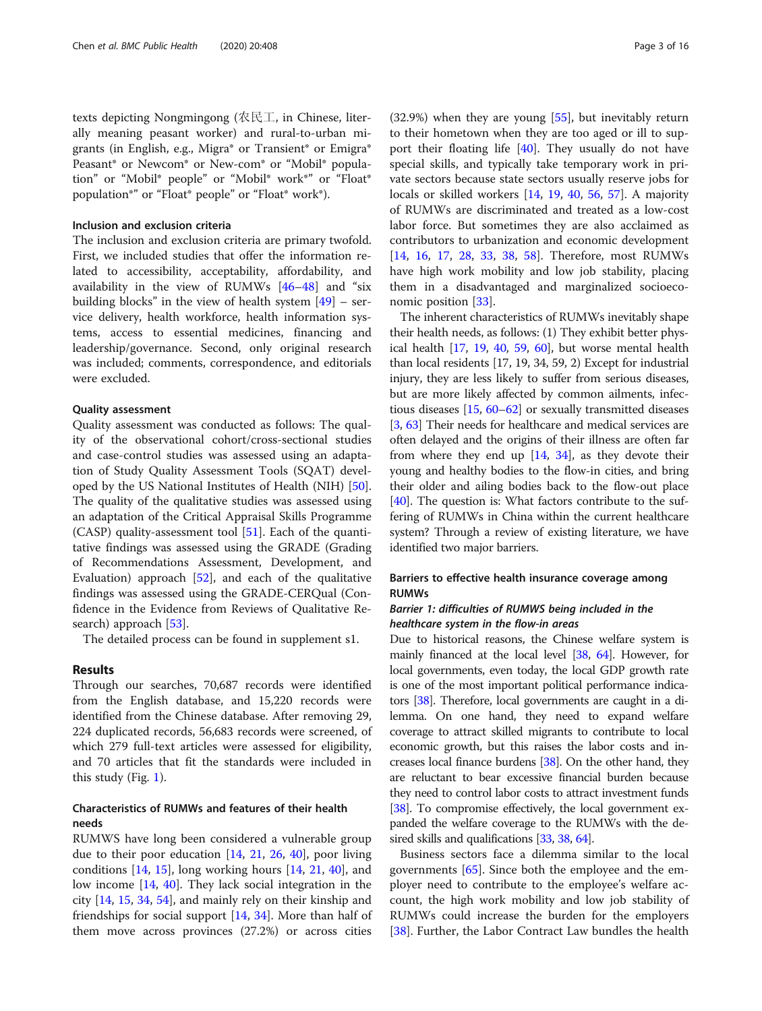texts depicting Nongmingong (农民工, in Chinese, literally meaning peasant worker) and rural-to-urban migrants (in English, e.g., Migra\* or Transient\* or Emigra\* Peasant\* or Newcom\* or New-com\* or "Mobil\* population" or "Mobil\* people" or "Mobil\* work\*" or "Float\* population\*" or "Float\* people" or "Float\* work\*).

#### Inclusion and exclusion criteria

The inclusion and exclusion criteria are primary twofold. First, we included studies that offer the information related to accessibility, acceptability, affordability, and availability in the view of RUMWs [[46](#page-13-0)–[48](#page-13-0)] and "six building blocks" in the view of health system  $[49]$  $[49]$  $[49]$  – service delivery, health workforce, health information systems, access to essential medicines, financing and leadership/governance. Second, only original research was included; comments, correspondence, and editorials were excluded.

### Quality assessment

Quality assessment was conducted as follows: The quality of the observational cohort/cross-sectional studies and case-control studies was assessed using an adaptation of Study Quality Assessment Tools (SQAT) developed by the US National Institutes of Health (NIH) [\[50](#page-13-0)]. The quality of the qualitative studies was assessed using an adaptation of the Critical Appraisal Skills Programme  $(CASP)$  quality-assessment tool  $[51]$  $[51]$ . Each of the quantitative findings was assessed using the GRADE (Grading of Recommendations Assessment, Development, and Evaluation) approach [[52\]](#page-13-0), and each of the qualitative findings was assessed using the GRADE-CERQual (Confidence in the Evidence from Reviews of Qualitative Research) approach [[53](#page-13-0)].

The detailed process can be found in supplement s1.

#### Results

Through our searches, 70,687 records were identified from the English database, and 15,220 records were identified from the Chinese database. After removing 29, 224 duplicated records, 56,683 records were screened, of which 279 full-text articles were assessed for eligibility, and 70 articles that fit the standards were included in this study (Fig. [1\)](#page-3-0).

# Characteristics of RUMWs and features of their health needs

RUMWS have long been considered a vulnerable group due to their poor education [[14,](#page-12-0) [21](#page-12-0), [26,](#page-13-0) [40](#page-13-0)], poor living conditions  $[14, 15]$  $[14, 15]$  $[14, 15]$  $[14, 15]$ , long working hours  $[14, 21, 40]$  $[14, 21, 40]$  $[14, 21, 40]$  $[14, 21, 40]$  $[14, 21, 40]$  $[14, 21, 40]$ , and low income [[14,](#page-12-0) [40](#page-13-0)]. They lack social integration in the city [\[14](#page-12-0), [15](#page-12-0), [34](#page-13-0), [54](#page-13-0)], and mainly rely on their kinship and friendships for social support [[14](#page-12-0), [34\]](#page-13-0). More than half of them move across provinces (27.2%) or across cities

(32.9%) when they are young [[55\]](#page-13-0), but inevitably return to their hometown when they are too aged or ill to support their floating life [\[40\]](#page-13-0). They usually do not have special skills, and typically take temporary work in private sectors because state sectors usually reserve jobs for locals or skilled workers [[14](#page-12-0), [19](#page-12-0), [40,](#page-13-0) [56](#page-13-0), [57](#page-13-0)]. A majority of RUMWs are discriminated and treated as a low-cost labor force. But sometimes they are also acclaimed as contributors to urbanization and economic development [[14,](#page-12-0) [16,](#page-12-0) [17,](#page-12-0) [28,](#page-13-0) [33,](#page-13-0) [38,](#page-13-0) [58](#page-13-0)]. Therefore, most RUMWs have high work mobility and low job stability, placing them in a disadvantaged and marginalized socioeconomic position [\[33](#page-13-0)].

The inherent characteristics of RUMWs inevitably shape their health needs, as follows: (1) They exhibit better physical health [\[17](#page-12-0), [19,](#page-12-0) [40,](#page-13-0) [59,](#page-13-0) [60\]](#page-13-0), but worse mental health than local residents [17, 19, 34, 59, 2) Except for industrial injury, they are less likely to suffer from serious diseases, but are more likely affected by common ailments, infectious diseases [\[15,](#page-12-0) [60](#page-13-0)–[62](#page-13-0)] or sexually transmitted diseases [[3,](#page-12-0) [63](#page-13-0)] Their needs for healthcare and medical services are often delayed and the origins of their illness are often far from where they end up  $[14, 34]$  $[14, 34]$  $[14, 34]$  $[14, 34]$  $[14, 34]$ , as they devote their young and healthy bodies to the flow-in cities, and bring their older and ailing bodies back to the flow-out place [[40](#page-13-0)]. The question is: What factors contribute to the suffering of RUMWs in China within the current healthcare system? Through a review of existing literature, we have identified two major barriers.

# Barriers to effective health insurance coverage among RUMWs

# Barrier 1: difficulties of RUMWS being included in the healthcare system in the flow-in areas

Due to historical reasons, the Chinese welfare system is mainly financed at the local level [\[38,](#page-13-0) [64\]](#page-13-0). However, for local governments, even today, the local GDP growth rate is one of the most important political performance indicators [\[38\]](#page-13-0). Therefore, local governments are caught in a dilemma. On one hand, they need to expand welfare coverage to attract skilled migrants to contribute to local economic growth, but this raises the labor costs and increases local finance burdens [\[38](#page-13-0)]. On the other hand, they are reluctant to bear excessive financial burden because they need to control labor costs to attract investment funds [[38](#page-13-0)]. To compromise effectively, the local government expanded the welfare coverage to the RUMWs with the desired skills and qualifications [\[33,](#page-13-0) [38,](#page-13-0) [64\]](#page-13-0).

Business sectors face a dilemma similar to the local governments [\[65\]](#page-13-0). Since both the employee and the employer need to contribute to the employee's welfare account, the high work mobility and low job stability of RUMWs could increase the burden for the employers [[38\]](#page-13-0). Further, the Labor Contract Law bundles the health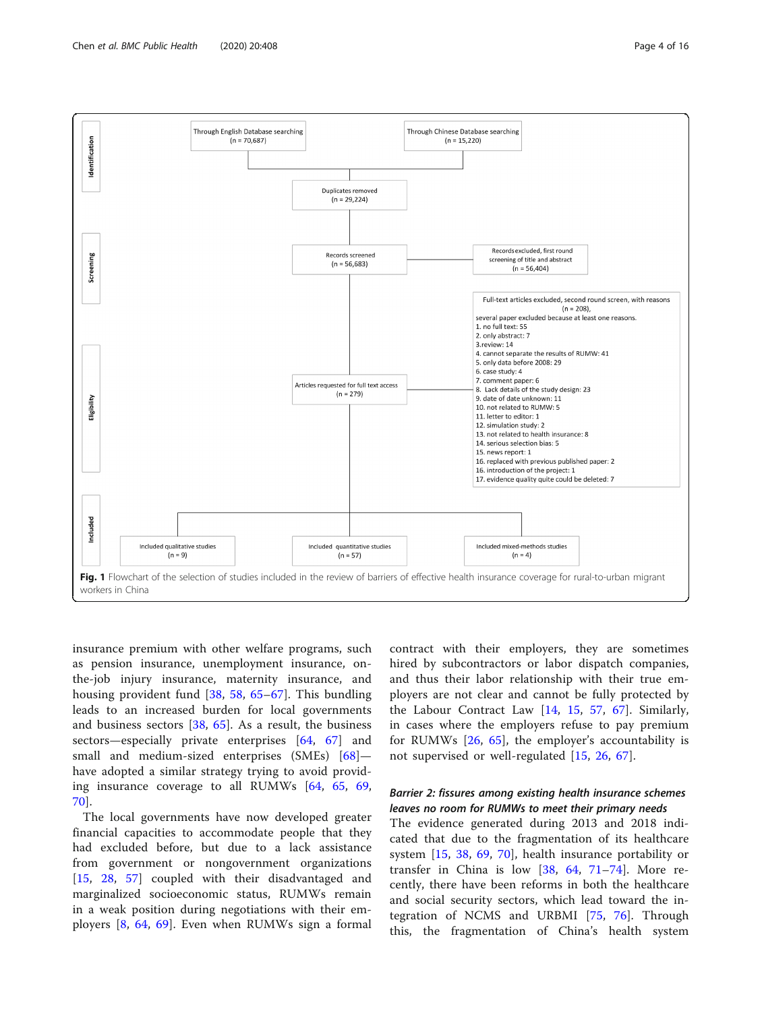<span id="page-3-0"></span>

insurance premium with other welfare programs, such as pension insurance, unemployment insurance, onthe-job injury insurance, maternity insurance, and housing provident fund [[38,](#page-13-0) [58,](#page-13-0) [65](#page-13-0)–[67\]](#page-13-0). This bundling leads to an increased burden for local governments and business sectors [[38,](#page-13-0) [65\]](#page-13-0). As a result, the business sectors—especially private enterprises [[64,](#page-13-0) [67](#page-13-0)] and small and medium-sized enterprises (SMEs) [\[68](#page-13-0)] have adopted a similar strategy trying to avoid providing insurance coverage to all RUMWs [\[64](#page-13-0), [65,](#page-13-0) [69](#page-13-0), [70\]](#page-13-0).

The local governments have now developed greater financial capacities to accommodate people that they had excluded before, but due to a lack assistance from government or nongovernment organizations [[15,](#page-12-0) [28](#page-13-0), [57](#page-13-0)] coupled with their disadvantaged and marginalized socioeconomic status, RUMWs remain in a weak position during negotiations with their employers [[8,](#page-12-0) [64](#page-13-0), [69\]](#page-13-0). Even when RUMWs sign a formal

contract with their employers, they are sometimes hired by subcontractors or labor dispatch companies, and thus their labor relationship with their true employers are not clear and cannot be fully protected by the Labour Contract Law [[14](#page-12-0), [15,](#page-12-0) [57](#page-13-0), [67\]](#page-13-0). Similarly, in cases where the employers refuse to pay premium for RUMWs [[26,](#page-13-0) [65](#page-13-0)], the employer's accountability is not supervised or well-regulated [\[15](#page-12-0), [26,](#page-13-0) [67\]](#page-13-0).

# Barrier 2: fissures among existing health insurance schemes leaves no room for RUMWs to meet their primary needs

The evidence generated during 2013 and 2018 indicated that due to the fragmentation of its healthcare system [\[15](#page-12-0), [38,](#page-13-0) [69,](#page-13-0) [70](#page-13-0)], health insurance portability or transfer in China is low  $[38, 64, 71-74]$  $[38, 64, 71-74]$  $[38, 64, 71-74]$  $[38, 64, 71-74]$  $[38, 64, 71-74]$  $[38, 64, 71-74]$  $[38, 64, 71-74]$ . More recently, there have been reforms in both the healthcare and social security sectors, which lead toward the integration of NCMS and URBMI [\[75](#page-14-0), [76](#page-14-0)]. Through this, the fragmentation of China's health system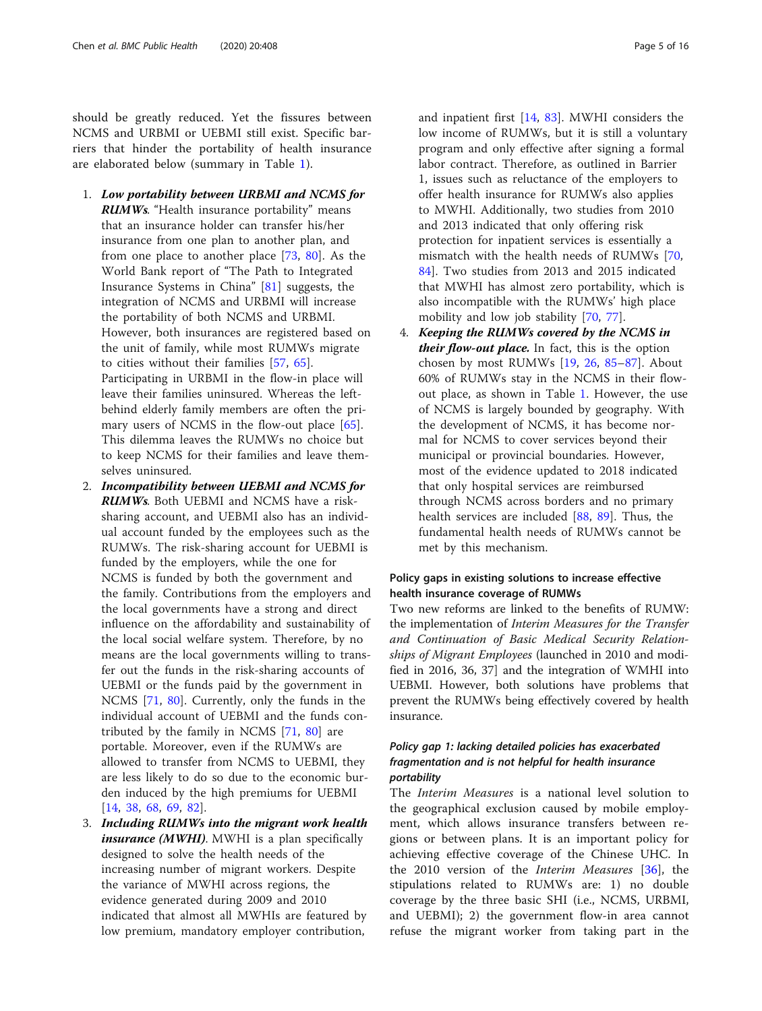should be greatly reduced. Yet the fissures between NCMS and URBMI or UEBMI still exist. Specific barriers that hinder the portability of health insurance are elaborated below (summary in Table [1](#page-5-0)).

- 1. Low portability between URBMI and NCMS for RUMWs. "Health insurance portability" means that an insurance holder can transfer his/her insurance from one plan to another plan, and from one place to another place [[73,](#page-14-0) [80\]](#page-14-0). As the World Bank report of "The Path to Integrated Insurance Systems in China" [\[81\]](#page-14-0) suggests, the integration of NCMS and URBMI will increase the portability of both NCMS and URBMI. However, both insurances are registered based on the unit of family, while most RUMWs migrate to cities without their families [[57,](#page-13-0) [65\]](#page-13-0). Participating in URBMI in the flow-in place will leave their families uninsured. Whereas the leftbehind elderly family members are often the pri-mary users of NCMS in the flow-out place [[65\]](#page-13-0). This dilemma leaves the RUMWs no choice but to keep NCMS for their families and leave themselves uninsured.
- 2. Incompatibility between UEBMI and NCMS for RUMWs. Both UEBMI and NCMS have a risksharing account, and UEBMI also has an individual account funded by the employees such as the RUMWs. The risk-sharing account for UEBMI is funded by the employers, while the one for NCMS is funded by both the government and the family. Contributions from the employers and the local governments have a strong and direct influence on the affordability and sustainability of the local social welfare system. Therefore, by no means are the local governments willing to transfer out the funds in the risk-sharing accounts of UEBMI or the funds paid by the government in NCMS [[71,](#page-14-0) [80\]](#page-14-0). Currently, only the funds in the individual account of UEBMI and the funds contributed by the family in NCMS [[71,](#page-14-0) [80\]](#page-14-0) are portable. Moreover, even if the RUMWs are allowed to transfer from NCMS to UEBMI, they are less likely to do so due to the economic burden induced by the high premiums for UEBMI [[14](#page-12-0), [38](#page-13-0), [68](#page-13-0), [69](#page-13-0), [82](#page-14-0)].
- 3. Including RUMWs into the migrant work health *insurance (MWHI)*. MWHI is a plan specifically designed to solve the health needs of the increasing number of migrant workers. Despite the variance of MWHI across regions, the evidence generated during 2009 and 2010 indicated that almost all MWHIs are featured by low premium, mandatory employer contribution,

and inpatient first [[14,](#page-12-0) [83\]](#page-14-0). MWHI considers the low income of RUMWs, but it is still a voluntary program and only effective after signing a formal labor contract. Therefore, as outlined in Barrier 1, issues such as reluctance of the employers to offer health insurance for RUMWs also applies to MWHI. Additionally, two studies from 2010 and 2013 indicated that only offering risk protection for inpatient services is essentially a mismatch with the health needs of RUMWs [\[70,](#page-13-0) [84](#page-14-0)]. Two studies from 2013 and 2015 indicated that MWHI has almost zero portability, which is also incompatible with the RUMWs' high place mobility and low job stability [[70,](#page-13-0) [77\]](#page-14-0).

4. Keeping the RUMWs covered by the NCMS in their flow-out place. In fact, this is the option chosen by most RUMWs [[19,](#page-12-0) [26,](#page-13-0) [85](#page-14-0)–[87](#page-14-0)]. About 60% of RUMWs stay in the NCMS in their flowout place, as shown in Table [1](#page-5-0). However, the use of NCMS is largely bounded by geography. With the development of NCMS, it has become normal for NCMS to cover services beyond their municipal or provincial boundaries. However, most of the evidence updated to 2018 indicated that only hospital services are reimbursed through NCMS across borders and no primary health services are included [[88,](#page-14-0) [89\]](#page-14-0). Thus, the fundamental health needs of RUMWs cannot be met by this mechanism.

# Policy gaps in existing solutions to increase effective health insurance coverage of RUMWs

Two new reforms are linked to the benefits of RUMW: the implementation of Interim Measures for the Transfer and Continuation of Basic Medical Security Relationships of Migrant Employees (launched in 2010 and modified in 2016, 36, 37] and the integration of WMHI into UEBMI. However, both solutions have problems that prevent the RUMWs being effectively covered by health insurance.

# Policy gap 1: lacking detailed policies has exacerbated fragmentation and is not helpful for health insurance portability

The Interim Measures is a national level solution to the geographical exclusion caused by mobile employment, which allows insurance transfers between regions or between plans. It is an important policy for achieving effective coverage of the Chinese UHC. In the 2010 version of the Interim Measures [[36](#page-13-0)], the stipulations related to RUMWs are: 1) no double coverage by the three basic SHI (i.e., NCMS, URBMI, and UEBMI); 2) the government flow-in area cannot refuse the migrant worker from taking part in the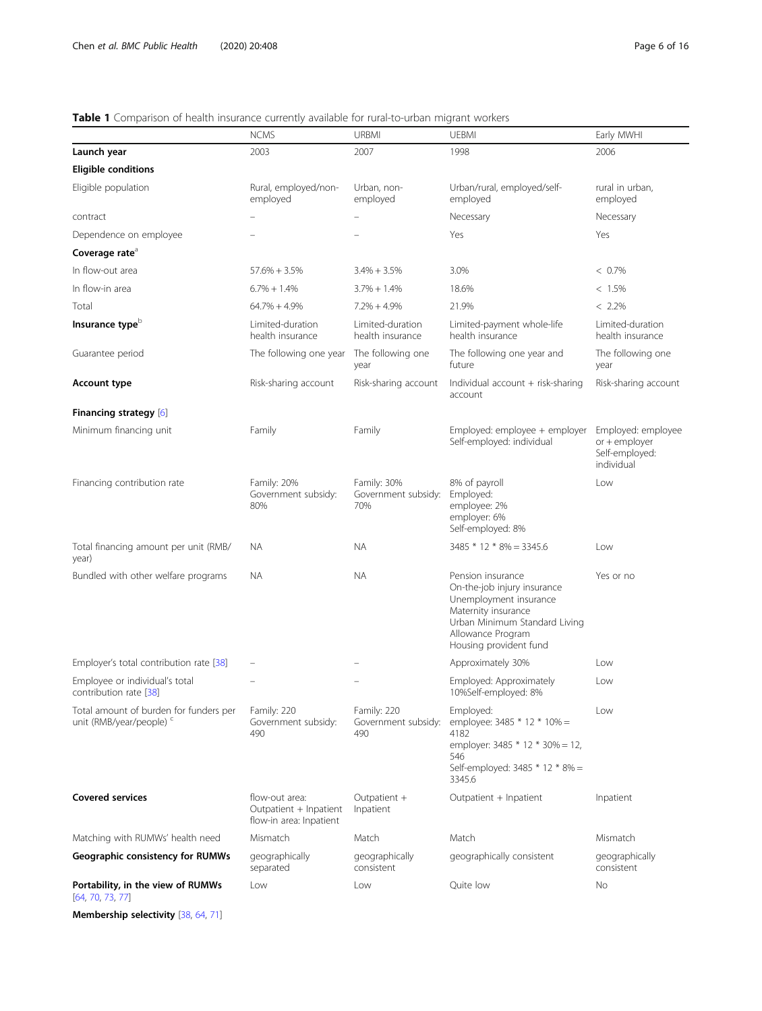# <span id="page-5-0"></span>Table 1 Comparison of health insurance currently available for rural-to-urban migrant workers

|                                                                    | <b>NCMS</b>                                                         | <b>URBMI</b>                              | <b>UEBMI</b>                                                                                                                                                                      | Early MWHI                                                            |  |
|--------------------------------------------------------------------|---------------------------------------------------------------------|-------------------------------------------|-----------------------------------------------------------------------------------------------------------------------------------------------------------------------------------|-----------------------------------------------------------------------|--|
| Launch year                                                        | 2003                                                                | 2007                                      | 1998                                                                                                                                                                              | 2006                                                                  |  |
| <b>Eligible conditions</b>                                         |                                                                     |                                           |                                                                                                                                                                                   |                                                                       |  |
| Eligible population                                                | Rural, employed/non-<br>employed                                    | Urban, non-<br>employed                   | Urban/rural, employed/self-<br>employed                                                                                                                                           | rural in urban,<br>employed                                           |  |
| contract                                                           |                                                                     |                                           | Necessary                                                                                                                                                                         | Necessary                                                             |  |
| Dependence on employee                                             |                                                                     |                                           | Yes                                                                                                                                                                               | Yes                                                                   |  |
| Coverage rate <sup>a</sup>                                         |                                                                     |                                           |                                                                                                                                                                                   |                                                                       |  |
| In flow-out area                                                   | $57.6\% + 3.5\%$                                                    | $3.4\% + 3.5\%$                           | 3.0%                                                                                                                                                                              | $< 0.7\%$                                                             |  |
| In flow-in area                                                    | $6.7\% + 1.4\%$                                                     | $3.7\% + 1.4\%$                           | 18.6%                                                                                                                                                                             | < 1.5%                                                                |  |
| Total                                                              | $64.7\% + 4.9\%$                                                    | $7.2\% + 4.9\%$                           | 21.9%                                                                                                                                                                             | $< 2.2\%$                                                             |  |
| Insurance type <sup>b</sup>                                        | Limited-duration<br>health insurance                                | Limited-duration<br>health insurance      | Limited-payment whole-life<br>health insurance                                                                                                                                    | Limited-duration<br>health insurance                                  |  |
| Guarantee period                                                   | The following one year                                              | The following one<br>year                 | The following one year and<br>future                                                                                                                                              | The following one<br>year                                             |  |
| Account type                                                       | Risk-sharing account                                                | Risk-sharing account                      | Individual account + risk-sharing<br>account                                                                                                                                      | Risk-sharing account                                                  |  |
| Financing strategy [6]                                             |                                                                     |                                           |                                                                                                                                                                                   |                                                                       |  |
| Minimum financing unit                                             | Family                                                              | Family                                    | Employed: employee + employer<br>Self-employed: individual                                                                                                                        | Employed: employee<br>$or +$ employer<br>Self-employed:<br>individual |  |
| Financing contribution rate                                        | Family: 20%<br>Government subsidy:<br>80%                           | Family: 30%<br>Government subsidy:<br>70% | 8% of payroll<br>Employed:<br>employee: 2%<br>employer: 6%<br>Self-employed: 8%                                                                                                   | Low                                                                   |  |
| Total financing amount per unit (RMB/<br>year)                     | NА                                                                  | <b>NA</b>                                 | $3485 * 12 * 8\% = 3345.6$                                                                                                                                                        | Low                                                                   |  |
| Bundled with other welfare programs                                | <b>NA</b>                                                           | NA.                                       | Pension insurance<br>On-the-job injury insurance<br>Unemployment insurance<br>Maternity insurance<br>Urban Minimum Standard Living<br>Allowance Program<br>Housing provident fund | Yes or no                                                             |  |
| Employer's total contribution rate [38]                            |                                                                     |                                           | Approximately 30%                                                                                                                                                                 | Low                                                                   |  |
| Employee or individual's total<br>contribution rate [38]           |                                                                     |                                           | Employed: Approximately<br>10%Self-employed: 8%                                                                                                                                   | Low                                                                   |  |
| Total amount of burden for funders per<br>unit (RMB/year/people) c | Family: 220<br>Government subsidy:<br>490                           | Family: 220<br>Government subsidy:<br>490 | Employed:<br>employee: $3485 * 12 * 10\% =$<br>4182<br>employer: 3485 * 12 * 30% = 12,<br>546<br>Self-employed: 3485 * 12 * 8% =<br>3345.6                                        | Low                                                                   |  |
| <b>Covered services</b>                                            | flow-out area:<br>Outpatient + Inpatient<br>flow-in area: Inpatient | Outpatient +<br>Inpatient                 | Outpatient + Inpatient                                                                                                                                                            | Inpatient                                                             |  |
| Matching with RUMWs' health need                                   | Mismatch                                                            | Match                                     | Match                                                                                                                                                                             | Mismatch                                                              |  |
| Geographic consistency for RUMWs                                   | geographically<br>separated                                         | geographically<br>consistent              | geographically consistent                                                                                                                                                         | geographically<br>consistent                                          |  |
| Portability, in the view of RUMWs<br>[64, 70, 73, 77]              | Low                                                                 | Low                                       | Quite low                                                                                                                                                                         | No                                                                    |  |

Membership selectivity [\[38](#page-13-0), [64](#page-13-0), [71\]](#page-14-0)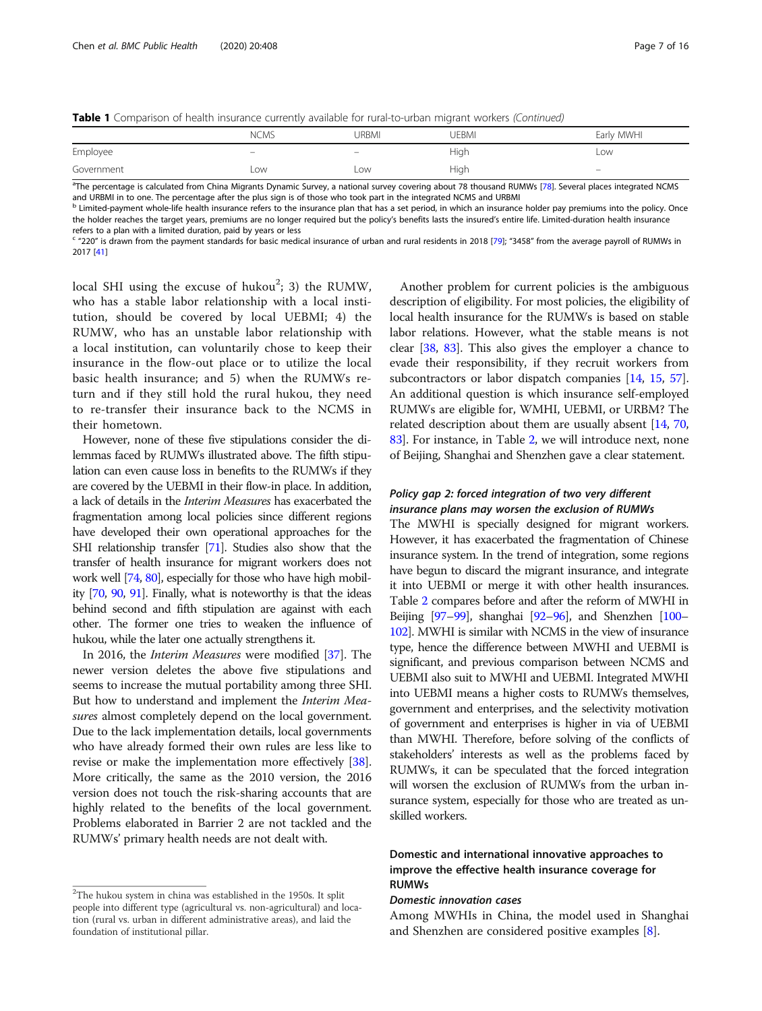|  | Table 1 Comparison of health insurance currently available for rural-to-urban migrant workers (Continued) |  |  |  |
|--|-----------------------------------------------------------------------------------------------------------|--|--|--|

|            | <b>NCMS</b>              | <b>JRBMI</b>             | <b>UEBMI</b> | Early MWHI               |
|------------|--------------------------|--------------------------|--------------|--------------------------|
| Employee   | $\overline{\phantom{m}}$ | $\overline{\phantom{m}}$ | High         | <b>LOW</b>               |
| Government | LOW                      | ∟OW                      | High         | $\overline{\phantom{m}}$ |

<sup>a</sup>The percentage is calculated from China Migrants Dynamic Survey, a national survey covering about 78 thousand RUMWs [\[78](#page-14-0)]. Several places integrated NCMS and URBMI in to one. The percentage after the plus sign is of those who took part in the integrated NCMS and URBMI

<sup>b</sup> Limited-payment whole-life health insurance refers to the insurance plan that has a set period, in which an insurance holder pay premiums into the policy. Once the holder reaches the target years, premiums are no longer required but the policy's benefits lasts the insured's entire life. Limited-duration health insurance refers to a plan with a limited duration, paid by years or less

<sup>c</sup> "220" is drawn from the payment standards for basic medical insurance of urban and rural residents in 2018 [[79\]](#page-14-0); "3458" from the average payroll of RUMWs in 2017 [\[41](#page-13-0)]

local SHI using the excuse of hukou<sup>2</sup>; 3) the RUMW, who has a stable labor relationship with a local institution, should be covered by local UEBMI; 4) the RUMW, who has an unstable labor relationship with a local institution, can voluntarily chose to keep their insurance in the flow-out place or to utilize the local basic health insurance; and 5) when the RUMWs return and if they still hold the rural hukou, they need to re-transfer their insurance back to the NCMS in their hometown.

However, none of these five stipulations consider the dilemmas faced by RUMWs illustrated above. The fifth stipulation can even cause loss in benefits to the RUMWs if they are covered by the UEBMI in their flow-in place. In addition, a lack of details in the Interim Measures has exacerbated the fragmentation among local policies since different regions have developed their own operational approaches for the SHI relationship transfer [\[71\]](#page-14-0). Studies also show that the transfer of health insurance for migrant workers does not work well [[74](#page-14-0), [80\]](#page-14-0), especially for those who have high mobility [\[70,](#page-13-0) [90](#page-14-0), [91\]](#page-14-0). Finally, what is noteworthy is that the ideas behind second and fifth stipulation are against with each other. The former one tries to weaken the influence of hukou, while the later one actually strengthens it.

In 2016, the Interim Measures were modified [\[37\]](#page-13-0). The newer version deletes the above five stipulations and seems to increase the mutual portability among three SHI. But how to understand and implement the Interim Measures almost completely depend on the local government. Due to the lack implementation details, local governments who have already formed their own rules are less like to revise or make the implementation more effectively [[38](#page-13-0)]. More critically, the same as the 2010 version, the 2016 version does not touch the risk-sharing accounts that are highly related to the benefits of the local government. Problems elaborated in Barrier 2 are not tackled and the RUMWs' primary health needs are not dealt with.

Another problem for current policies is the ambiguous description of eligibility. For most policies, the eligibility of local health insurance for the RUMWs is based on stable labor relations. However, what the stable means is not clear [\[38,](#page-13-0) [83\]](#page-14-0). This also gives the employer a chance to evade their responsibility, if they recruit workers from subcontractors or labor dispatch companies [\[14,](#page-12-0) [15,](#page-12-0) [57](#page-13-0)]. An additional question is which insurance self-employed RUMWs are eligible for, WMHI, UEBMI, or URBM? The related description about them are usually absent  $[14, 70, 16]$  $[14, 70, 16]$  $[14, 70, 16]$  $[14, 70, 16]$  $[14, 70, 16]$ [83](#page-14-0)]. For instance, in Table [2](#page-7-0), we will introduce next, none of Beijing, Shanghai and Shenzhen gave a clear statement.

# Policy gap 2: forced integration of two very different insurance plans may worsen the exclusion of RUMWs

The MWHI is specially designed for migrant workers. However, it has exacerbated the fragmentation of Chinese insurance system. In the trend of integration, some regions have begun to discard the migrant insurance, and integrate it into UEBMI or merge it with other health insurances. Table [2](#page-7-0) compares before and after the reform of MWHI in Beijing  $[97-99]$  $[97-99]$  $[97-99]$  $[97-99]$  $[97-99]$ , shanghai  $[92-96]$  $[92-96]$  $[92-96]$ , and Shenzhen  $[100 [100 [100-$ [102\]](#page-14-0). MWHI is similar with NCMS in the view of insurance type, hence the difference between MWHI and UEBMI is significant, and previous comparison between NCMS and UEBMI also suit to MWHI and UEBMI. Integrated MWHI into UEBMI means a higher costs to RUMWs themselves, government and enterprises, and the selectivity motivation of government and enterprises is higher in via of UEBMI than MWHI. Therefore, before solving of the conflicts of stakeholders' interests as well as the problems faced by RUMWs, it can be speculated that the forced integration will worsen the exclusion of RUMWs from the urban insurance system, especially for those who are treated as unskilled workers.

# Domestic and international innovative approaches to improve the effective health insurance coverage for RUMWs

## Domestic innovation cases

Among MWHIs in China, the model used in Shanghai and Shenzhen are considered positive examples [[8\]](#page-12-0).

 $2$ The hukou system in china was established in the 1950s. It split people into different type (agricultural vs. non-agricultural) and location (rural vs. urban in different administrative areas), and laid the foundation of institutional pillar.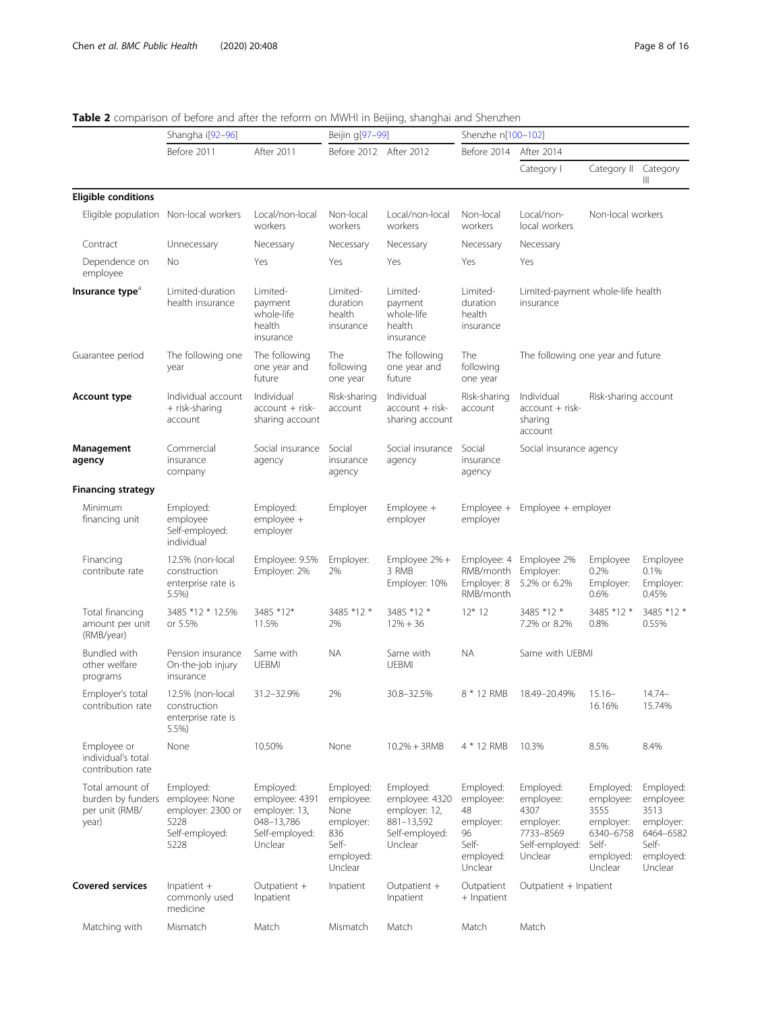# <span id="page-7-0"></span>Table 2 comparison of before and after the reform on MWHI in Beijing, shanghai and Shenzhen

|                                                                 | Shangha i[92-96]                                                                   |                                                                                         | Beijin g[97-99]                                                                     |                                                                                         | Shenzhe n[100-102]                                                               |                                                                                       |                                                                                           |                                                                                           |
|-----------------------------------------------------------------|------------------------------------------------------------------------------------|-----------------------------------------------------------------------------------------|-------------------------------------------------------------------------------------|-----------------------------------------------------------------------------------------|----------------------------------------------------------------------------------|---------------------------------------------------------------------------------------|-------------------------------------------------------------------------------------------|-------------------------------------------------------------------------------------------|
|                                                                 | Before 2011                                                                        | After 2011                                                                              | Before 2012 After 2012                                                              |                                                                                         | Before 2014                                                                      | After 2014                                                                            |                                                                                           |                                                                                           |
|                                                                 |                                                                                    |                                                                                         |                                                                                     |                                                                                         |                                                                                  | Category I                                                                            | Category II                                                                               | Category<br>Ш                                                                             |
| <b>Eligible conditions</b>                                      |                                                                                    |                                                                                         |                                                                                     |                                                                                         |                                                                                  |                                                                                       |                                                                                           |                                                                                           |
| Eligible population Non-local workers                           |                                                                                    | Local/non-local<br>workers                                                              | Non-local<br>workers                                                                | Local/non-local<br>workers                                                              | Non-local<br>workers                                                             | Local/non-<br>local workers                                                           | Non-local workers                                                                         |                                                                                           |
| Contract                                                        | Unnecessary                                                                        | Necessary                                                                               | Necessary                                                                           | Necessary                                                                               | Necessary                                                                        | Necessary                                                                             |                                                                                           |                                                                                           |
| Dependence on<br>employee                                       | No                                                                                 | Yes                                                                                     | Yes                                                                                 | Yes                                                                                     | Yes                                                                              | Yes                                                                                   |                                                                                           |                                                                                           |
| Insurance type <sup>d</sup>                                     | Limited-duration<br>health insurance                                               | Limited-<br>payment<br>whole-life<br>health<br>insurance                                | Limited-<br>duration<br>health<br>insurance                                         | Limited-<br>payment<br>whole-life<br>health<br>insurance                                | Limited-<br>duration<br>health<br>insurance                                      | Limited-payment whole-life health<br>insurance                                        |                                                                                           |                                                                                           |
| Guarantee period                                                | The following one<br>year                                                          | The following<br>one year and<br>future                                                 | The<br>following<br>one year                                                        | The following<br>one year and<br>future                                                 | The<br>following<br>one year                                                     | The following one year and future                                                     |                                                                                           |                                                                                           |
| Account type                                                    | Individual account<br>+ risk-sharing<br>account                                    | Individual<br>account + risk-<br>sharing account                                        | Risk-sharing<br>account                                                             | Individual<br>$account + risk-$<br>sharing account                                      | Risk-sharing<br>account                                                          | Individual<br>$account + risk-$<br>sharing<br>account                                 | Risk-sharing account                                                                      |                                                                                           |
| Management<br>agency                                            | Commercial<br>insurance<br>company                                                 | Social insurance<br>agency                                                              | Social<br>insurance<br>agency                                                       | Social insurance<br>agency                                                              | Social<br>insurance<br>agency                                                    | Social insurance agency                                                               |                                                                                           |                                                                                           |
| <b>Financing strategy</b>                                       |                                                                                    |                                                                                         |                                                                                     |                                                                                         |                                                                                  |                                                                                       |                                                                                           |                                                                                           |
| Minimum<br>financing unit                                       | Employed:<br>employee<br>Self-employed:<br>individual                              | Employed:<br>employee +<br>employer                                                     | Employer                                                                            | $Emplovee +$<br>employer                                                                | $Emplovee +$<br>employer                                                         | Employee + employer                                                                   |                                                                                           |                                                                                           |
| Financing<br>contribute rate                                    | 12.5% (non-local<br>construction<br>enterprise rate is<br>5.5%                     | Employee: 9.5%<br>Employer: 2%                                                          | Employer:<br>2%                                                                     | Employee $2\%$ +<br>3 RMB<br>Employer: 10%                                              | Employee: 4<br>RMB/month<br>Employer: 8<br>RMB/month                             | Employee 2%<br>Employer:<br>5.2% or 6.2%                                              | Employee<br>0.2%<br>Employer:<br>0.6%                                                     | Employee<br>0.1%<br>Employer:<br>0.45%                                                    |
| Total financing<br>amount per unit<br>(RMB/year)                | 3485 *12 * 12.5%<br>or 5.5%                                                        | 3485 *12*<br>11.5%                                                                      | 3485 *12 *<br>2%                                                                    | 3485 *12 *<br>$12% + 36$                                                                | $12*12$                                                                          | 3485 *12 *<br>7.2% or 8.2%                                                            | 3485 *12 *<br>0.8%                                                                        | 3485 *12 *<br>0.55%                                                                       |
| <b>Bundled with</b><br>other welfare<br>programs                | Pension insurance<br>On-the-job injury<br>insurance                                | Same with<br><b>UEBMI</b>                                                               | <b>NA</b>                                                                           | Same with<br><b>UEBMI</b>                                                               | <b>NA</b>                                                                        | Same with UEBMI                                                                       |                                                                                           |                                                                                           |
| Employer's total<br>contribution rate                           | 12.5% (non-local<br>construction<br>enterprise rate is<br>5.5%                     | 31.2-32.9%                                                                              | 2%                                                                                  | 30.8-32.5%                                                                              | 8 * 12 RMB                                                                       | 18.49-20.49%                                                                          | $15.16-$<br>16.16%                                                                        | $14.74-$<br>15.74%                                                                        |
| Employee or<br>individual's total<br>contribution rate          | None                                                                               | 10.50%                                                                                  | None                                                                                | $10.2% + 3RMB$                                                                          | 4 * 12 RMB                                                                       | 10.3%                                                                                 | 8.5%                                                                                      | 8.4%                                                                                      |
| Total amount of<br>burden by funders<br>per unit (RMB/<br>year) | Employed:<br>employee: None<br>employer: 2300 or<br>5228<br>Self-employed:<br>5228 | Employed:<br>employee: 4391<br>employer: 13,<br>048-13,786<br>Self-employed:<br>Unclear | Employed:<br>employee:<br>None<br>employer:<br>836<br>Self-<br>employed:<br>Unclear | Employed:<br>employee: 4320<br>employer: 12,<br>881-13,592<br>Self-employed:<br>Unclear | Employed:<br>employee:<br>48<br>employer:<br>96<br>Self-<br>employed:<br>Unclear | Employed:<br>employee:<br>4307<br>employer:<br>7733-8569<br>Self-employed:<br>Unclear | Employed:<br>employee:<br>3555<br>employer:<br>6340-6758<br>Self-<br>employed:<br>Unclear | Employed:<br>employee:<br>3513<br>employer:<br>6464-6582<br>Self-<br>employed:<br>Unclear |
| <b>Covered services</b>                                         | Inpatient $+$<br>commonly used<br>medicine                                         | Outpatient +<br>Inpatient                                                               | Inpatient                                                                           | Outpatient +<br>Inpatient                                                               | Outpatient<br>+ Inpatient                                                        | Outpatient + Inpatient                                                                |                                                                                           |                                                                                           |
| Matching with                                                   | Mismatch                                                                           | Match                                                                                   | Mismatch                                                                            | Match                                                                                   | Match                                                                            | Match                                                                                 |                                                                                           |                                                                                           |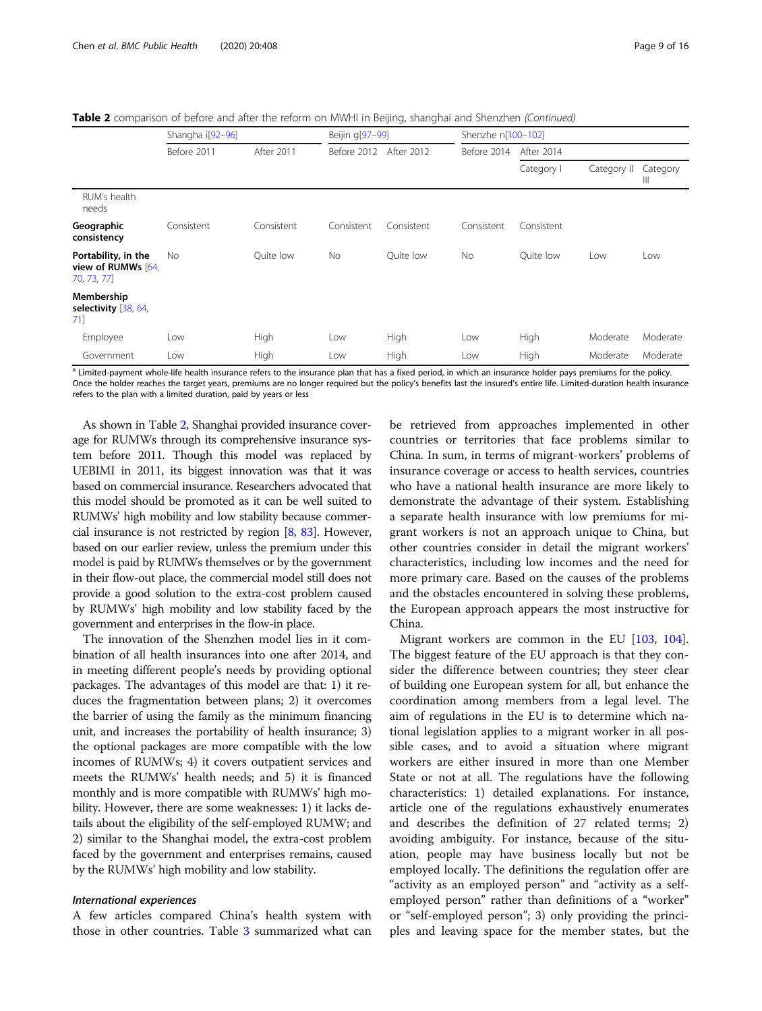Table 2 comparison of before and after the reform on MWHI in Beijing, shanghai and Shenzhen (Continued)

|                                                          | Shangha i[92-96] |            | Beijin q[97-99] |            | Shenzhe n[100-102] |            |             |               |
|----------------------------------------------------------|------------------|------------|-----------------|------------|--------------------|------------|-------------|---------------|
|                                                          | Before 2011      | After 2011 | Before 2012     | After 2012 | Before 2014        | After 2014 |             |               |
|                                                          |                  |            |                 |            |                    | Category I | Category II | Category<br>Ш |
| RUM's health<br>needs                                    |                  |            |                 |            |                    |            |             |               |
| Geographic<br>consistency                                | Consistent       | Consistent | Consistent      | Consistent | Consistent         | Consistent |             |               |
| Portability, in the<br>view of RUMWs [64,<br>70, 73, 77] | No.              | Ouite low  | No              | Ouite low  | <b>No</b>          | Ouite low  | Low         | Low           |
| Membership<br>selectivity [38, 64,<br>71]                |                  |            |                 |            |                    |            |             |               |
| Employee                                                 | Low              | High       | Low             | High       | Low                | High       | Moderate    | Moderate      |
| Government                                               | Low              | High       | Low             | High       | Low                | High       | Moderate    | Moderate      |

<sup>a</sup> Limited-payment whole-life health insurance refers to the insurance plan that has a fixed period, in which an insurance holder pays premiums for the policy. Once the holder reaches the target years, premiums are no longer required but the policy's benefits last the insured's entire life. Limited-duration health insurance refers to the plan with a limited duration, paid by years or less

As shown in Table [2,](#page-7-0) Shanghai provided insurance coverage for RUMWs through its comprehensive insurance system before 2011. Though this model was replaced by UEBIMI in 2011, its biggest innovation was that it was based on commercial insurance. Researchers advocated that this model should be promoted as it can be well suited to RUMWs' high mobility and low stability because commercial insurance is not restricted by region [\[8,](#page-12-0) [83\]](#page-14-0). However, based on our earlier review, unless the premium under this model is paid by RUMWs themselves or by the government in their flow-out place, the commercial model still does not provide a good solution to the extra-cost problem caused by RUMWs' high mobility and low stability faced by the government and enterprises in the flow-in place.

The innovation of the Shenzhen model lies in it combination of all health insurances into one after 2014, and in meeting different people's needs by providing optional packages. The advantages of this model are that: 1) it reduces the fragmentation between plans; 2) it overcomes the barrier of using the family as the minimum financing unit, and increases the portability of health insurance; 3) the optional packages are more compatible with the low incomes of RUMWs; 4) it covers outpatient services and meets the RUMWs' health needs; and 5) it is financed monthly and is more compatible with RUMWs' high mobility. However, there are some weaknesses: 1) it lacks details about the eligibility of the self-employed RUMW; and 2) similar to the Shanghai model, the extra-cost problem faced by the government and enterprises remains, caused by the RUMWs' high mobility and low stability.

#### International experiences

A few articles compared China's health system with those in other countries. Table [3](#page-9-0) summarized what can

be retrieved from approaches implemented in other countries or territories that face problems similar to China. In sum, in terms of migrant-workers' problems of insurance coverage or access to health services, countries who have a national health insurance are more likely to demonstrate the advantage of their system. Establishing a separate health insurance with low premiums for migrant workers is not an approach unique to China, but other countries consider in detail the migrant workers' characteristics, including low incomes and the need for more primary care. Based on the causes of the problems and the obstacles encountered in solving these problems, the European approach appears the most instructive for China.

Migrant workers are common in the EU [[103,](#page-14-0) [104](#page-14-0)]. The biggest feature of the EU approach is that they consider the difference between countries; they steer clear of building one European system for all, but enhance the coordination among members from a legal level. The aim of regulations in the EU is to determine which national legislation applies to a migrant worker in all possible cases, and to avoid a situation where migrant workers are either insured in more than one Member State or not at all. The regulations have the following characteristics: 1) detailed explanations. For instance, article one of the regulations exhaustively enumerates and describes the definition of 27 related terms; 2) avoiding ambiguity. For instance, because of the situation, people may have business locally but not be employed locally. The definitions the regulation offer are "activity as an employed person" and "activity as a selfemployed person" rather than definitions of a "worker" or "self-employed person"; 3) only providing the principles and leaving space for the member states, but the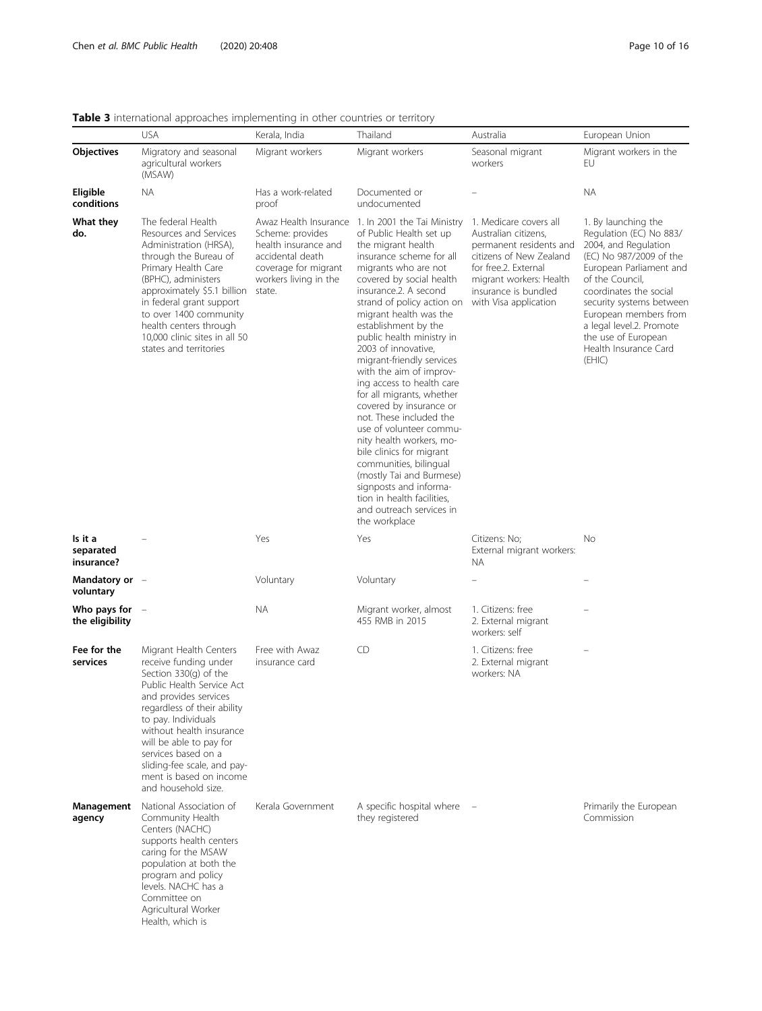Health, which is

|                                     | <b>USA</b>                                                                                                                                                                                                                                                                                                                                          | Kerala, India                                                                                                                                    | Thailand                                                                                                                                                                                                                                                                                                                                                                                                                                                                                                                                                                                                                                                                                                                                        | Australia                                                                                                                                                                                                | European Union                                                                                                                                                                                                                                                                                                       |
|-------------------------------------|-----------------------------------------------------------------------------------------------------------------------------------------------------------------------------------------------------------------------------------------------------------------------------------------------------------------------------------------------------|--------------------------------------------------------------------------------------------------------------------------------------------------|-------------------------------------------------------------------------------------------------------------------------------------------------------------------------------------------------------------------------------------------------------------------------------------------------------------------------------------------------------------------------------------------------------------------------------------------------------------------------------------------------------------------------------------------------------------------------------------------------------------------------------------------------------------------------------------------------------------------------------------------------|----------------------------------------------------------------------------------------------------------------------------------------------------------------------------------------------------------|----------------------------------------------------------------------------------------------------------------------------------------------------------------------------------------------------------------------------------------------------------------------------------------------------------------------|
| Objectives                          | Migratory and seasonal<br>agricultural workers<br>(MSAW)                                                                                                                                                                                                                                                                                            | Migrant workers                                                                                                                                  | Migrant workers                                                                                                                                                                                                                                                                                                                                                                                                                                                                                                                                                                                                                                                                                                                                 | Seasonal migrant<br>workers                                                                                                                                                                              | Migrant workers in the<br>EU.                                                                                                                                                                                                                                                                                        |
| Eligible<br>conditions              | ΝA                                                                                                                                                                                                                                                                                                                                                  | Has a work-related<br>proof                                                                                                                      | Documented or<br>undocumented                                                                                                                                                                                                                                                                                                                                                                                                                                                                                                                                                                                                                                                                                                                   |                                                                                                                                                                                                          | <b>NA</b>                                                                                                                                                                                                                                                                                                            |
| What they<br>do.                    | The federal Health<br>Resources and Services<br>Administration (HRSA),<br>through the Bureau of<br>Primary Health Care<br>(BPHC), administers<br>approximately \$5.1 billion<br>in federal grant support<br>to over 1400 community<br>health centers through<br>10,000 clinic sites in all 50<br>states and territories                             | Awaz Health Insurance<br>Scheme: provides<br>health insurance and<br>accidental death<br>coverage for migrant<br>workers living in the<br>state. | 1. In 2001 the Tai Ministry<br>of Public Health set up<br>the migrant health<br>insurance scheme for all<br>migrants who are not<br>covered by social health<br>insurance.2. A second<br>strand of policy action on<br>migrant health was the<br>establishment by the<br>public health ministry in<br>2003 of innovative,<br>migrant-friendly services<br>with the aim of improv-<br>ing access to health care<br>for all migrants, whether<br>covered by insurance or<br>not. These included the<br>use of volunteer commu-<br>nity health workers, mo-<br>bile clinics for migrant<br>communities, bilingual<br>(mostly Tai and Burmese)<br>signposts and informa-<br>tion in health facilities,<br>and outreach services in<br>the workplace | 1. Medicare covers all<br>Australian citizens,<br>permanent residents and<br>citizens of New Zealand<br>for free.2. External<br>migrant workers: Health<br>insurance is bundled<br>with Visa application | 1. By launching the<br>Regulation (EC) No 883/<br>2004, and Regulation<br>(EC) No 987/2009 of the<br>European Parliament and<br>of the Council,<br>coordinates the social<br>security systems between<br>European members from<br>a legal level.2. Promote<br>the use of European<br>Health Insurance Card<br>(EHIC) |
| Is it a<br>separated<br>insurance?  |                                                                                                                                                                                                                                                                                                                                                     | Yes                                                                                                                                              | Yes                                                                                                                                                                                                                                                                                                                                                                                                                                                                                                                                                                                                                                                                                                                                             | Citizens: No;<br>External migrant workers:<br><b>NA</b>                                                                                                                                                  | <b>No</b>                                                                                                                                                                                                                                                                                                            |
| Mandatory or -<br>voluntary         |                                                                                                                                                                                                                                                                                                                                                     | Voluntary                                                                                                                                        | Voluntary                                                                                                                                                                                                                                                                                                                                                                                                                                                                                                                                                                                                                                                                                                                                       |                                                                                                                                                                                                          |                                                                                                                                                                                                                                                                                                                      |
| Who pays for $-$<br>the eligibility |                                                                                                                                                                                                                                                                                                                                                     | ΝA                                                                                                                                               | Migrant worker, almost<br>455 RMB in 2015                                                                                                                                                                                                                                                                                                                                                                                                                                                                                                                                                                                                                                                                                                       | 1. Citizens: free<br>2. External migrant<br>workers: self                                                                                                                                                |                                                                                                                                                                                                                                                                                                                      |
| Fee for the<br>services             | Migrant Health Centers<br>receive funding under<br>Section 330(g) of the<br>Public Health Service Act<br>and provides services<br>regardless of their ability<br>to pay. Individuals<br>without health insurance<br>will be able to pay for<br>services based on a<br>sliding-fee scale, and pay-<br>ment is based on income<br>and household size. | Free with Awaz<br>insurance card                                                                                                                 | CD                                                                                                                                                                                                                                                                                                                                                                                                                                                                                                                                                                                                                                                                                                                                              | 1. Citizens: free<br>2. External migrant<br>workers: NA                                                                                                                                                  |                                                                                                                                                                                                                                                                                                                      |
| Management<br>agency                | National Association of<br>Community Health<br>Centers (NACHC)<br>supports health centers<br>caring for the MSAW<br>population at both the<br>program and policy<br>levels. NACHC has a<br>Committee on<br>Agricultural Worker                                                                                                                      | Kerala Government                                                                                                                                | A specific hospital where -<br>they registered                                                                                                                                                                                                                                                                                                                                                                                                                                                                                                                                                                                                                                                                                                  |                                                                                                                                                                                                          | Primarily the European<br>Commission                                                                                                                                                                                                                                                                                 |

# <span id="page-9-0"></span>Table 3 international approaches implementing in other countries or territory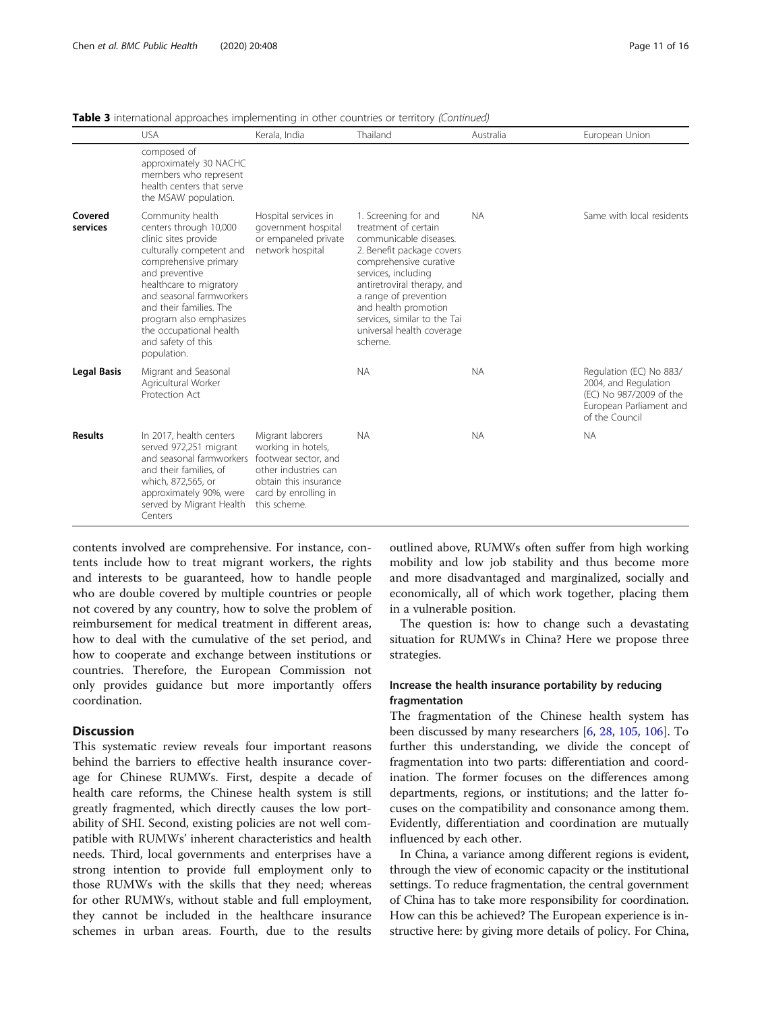|                     | <b>USA</b>                                                                                                                                                                                                                                                                                                             | Kerala, India                                                                                                                                           | Thailand                                                                                                                                                                                                                                                                                                     | Australia | European Union                                                                                                          |
|---------------------|------------------------------------------------------------------------------------------------------------------------------------------------------------------------------------------------------------------------------------------------------------------------------------------------------------------------|---------------------------------------------------------------------------------------------------------------------------------------------------------|--------------------------------------------------------------------------------------------------------------------------------------------------------------------------------------------------------------------------------------------------------------------------------------------------------------|-----------|-------------------------------------------------------------------------------------------------------------------------|
|                     | composed of<br>approximately 30 NACHC<br>members who represent<br>health centers that serve<br>the MSAW population.                                                                                                                                                                                                    |                                                                                                                                                         |                                                                                                                                                                                                                                                                                                              |           |                                                                                                                         |
| Covered<br>services | Community health<br>centers through 10,000<br>clinic sites provide<br>culturally competent and<br>comprehensive primary<br>and preventive<br>healthcare to migratory<br>and seasonal farmworkers<br>and their families. The<br>program also emphasizes<br>the occupational health<br>and safety of this<br>population. | Hospital services in<br>government hospital<br>or empaneled private<br>network hospital                                                                 | 1. Screening for and<br>treatment of certain<br>communicable diseases.<br>2. Benefit package covers<br>comprehensive curative<br>services, including<br>antiretroviral therapy, and<br>a range of prevention<br>and health promotion<br>services, similar to the Tai<br>universal health coverage<br>scheme. | <b>NA</b> | Same with local residents                                                                                               |
| <b>Legal Basis</b>  | Migrant and Seasonal<br>Agricultural Worker<br>Protection Act                                                                                                                                                                                                                                                          |                                                                                                                                                         | <b>NA</b>                                                                                                                                                                                                                                                                                                    | <b>NA</b> | Regulation (EC) No 883/<br>2004, and Regulation<br>(EC) No 987/2009 of the<br>European Parliament and<br>of the Council |
| <b>Results</b>      | In 2017, health centers<br>served 972,251 migrant<br>and seasonal farmworkers<br>and their families, of<br>which, 872,565, or<br>approximately 90%, were<br>served by Migrant Health<br>Centers                                                                                                                        | Migrant laborers<br>working in hotels,<br>footwear sector, and<br>other industries can<br>obtain this insurance<br>card by enrolling in<br>this scheme. | <b>NA</b>                                                                                                                                                                                                                                                                                                    | <b>NA</b> | <b>NA</b>                                                                                                               |

**Table 3** international approaches implementing in other countries or territory (Continued)

contents involved are comprehensive. For instance, contents include how to treat migrant workers, the rights and interests to be guaranteed, how to handle people who are double covered by multiple countries or people not covered by any country, how to solve the problem of reimbursement for medical treatment in different areas, how to deal with the cumulative of the set period, and how to cooperate and exchange between institutions or countries. Therefore, the European Commission not only provides guidance but more importantly offers coordination.

### **Discussion**

This systematic review reveals four important reasons behind the barriers to effective health insurance coverage for Chinese RUMWs. First, despite a decade of health care reforms, the Chinese health system is still greatly fragmented, which directly causes the low portability of SHI. Second, existing policies are not well compatible with RUMWs' inherent characteristics and health needs. Third, local governments and enterprises have a strong intention to provide full employment only to those RUMWs with the skills that they need; whereas for other RUMWs, without stable and full employment, they cannot be included in the healthcare insurance schemes in urban areas. Fourth, due to the results

outlined above, RUMWs often suffer from high working mobility and low job stability and thus become more and more disadvantaged and marginalized, socially and economically, all of which work together, placing them in a vulnerable position.

The question is: how to change such a devastating situation for RUMWs in China? Here we propose three strategies.

# Increase the health insurance portability by reducing fragmentation

The fragmentation of the Chinese health system has been discussed by many researchers [[6,](#page-12-0) [28,](#page-13-0) [105,](#page-14-0) [106\]](#page-14-0). To further this understanding, we divide the concept of fragmentation into two parts: differentiation and coordination. The former focuses on the differences among departments, regions, or institutions; and the latter focuses on the compatibility and consonance among them. Evidently, differentiation and coordination are mutually influenced by each other.

In China, a variance among different regions is evident, through the view of economic capacity or the institutional settings. To reduce fragmentation, the central government of China has to take more responsibility for coordination. How can this be achieved? The European experience is instructive here: by giving more details of policy. For China,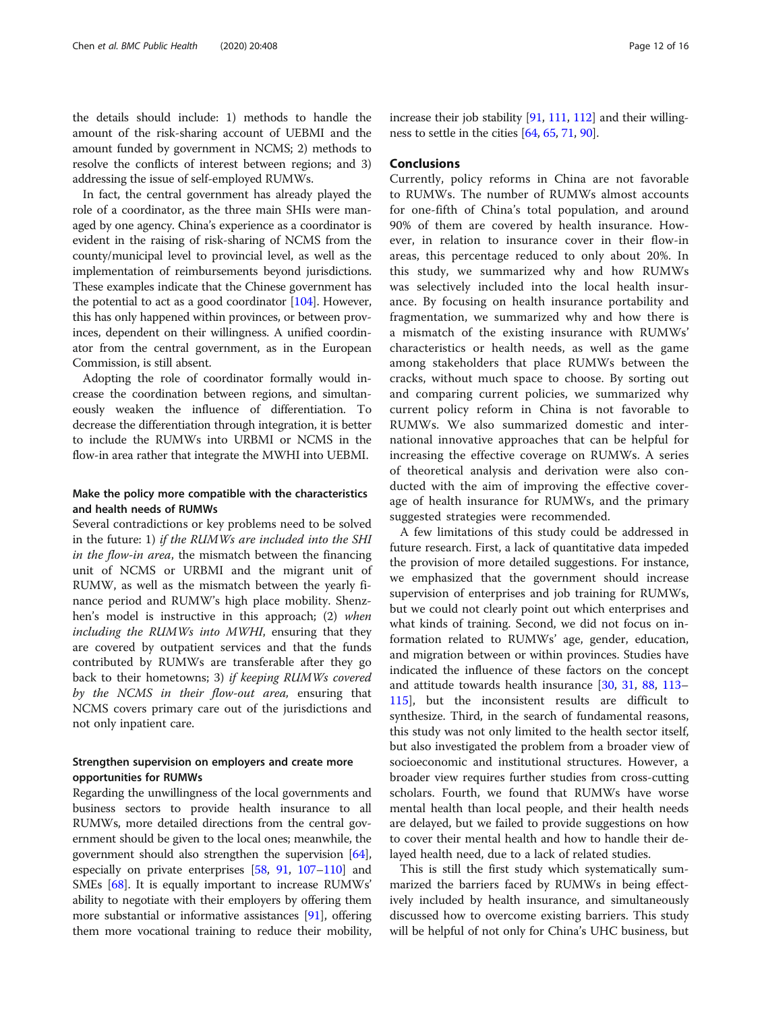the details should include: 1) methods to handle the amount of the risk-sharing account of UEBMI and the amount funded by government in NCMS; 2) methods to resolve the conflicts of interest between regions; and 3) addressing the issue of self-employed RUMWs.

In fact, the central government has already played the role of a coordinator, as the three main SHIs were managed by one agency. China's experience as a coordinator is evident in the raising of risk-sharing of NCMS from the county/municipal level to provincial level, as well as the implementation of reimbursements beyond jurisdictions. These examples indicate that the Chinese government has the potential to act as a good coordinator [\[104](#page-14-0)]. However, this has only happened within provinces, or between provinces, dependent on their willingness. A unified coordinator from the central government, as in the European Commission, is still absent.

Adopting the role of coordinator formally would increase the coordination between regions, and simultaneously weaken the influence of differentiation. To decrease the differentiation through integration, it is better to include the RUMWs into URBMI or NCMS in the flow-in area rather that integrate the MWHI into UEBMI.

# Make the policy more compatible with the characteristics and health needs of RUMWs

Several contradictions or key problems need to be solved in the future: 1) if the RUMWs are included into the SHI in the flow-in area, the mismatch between the financing unit of NCMS or URBMI and the migrant unit of RUMW, as well as the mismatch between the yearly finance period and RUMW's high place mobility. Shenzhen's model is instructive in this approach; (2) when including the RUMWs into MWHI, ensuring that they are covered by outpatient services and that the funds contributed by RUMWs are transferable after they go back to their hometowns; 3) if keeping RUMWs covered by the NCMS in their flow-out area, ensuring that NCMS covers primary care out of the jurisdictions and not only inpatient care.

# Strengthen supervision on employers and create more opportunities for RUMWs

Regarding the unwillingness of the local governments and business sectors to provide health insurance to all RUMWs, more detailed directions from the central government should be given to the local ones; meanwhile, the government should also strengthen the supervision [[64](#page-13-0)], especially on private enterprises [\[58,](#page-13-0) [91,](#page-14-0) [107](#page-14-0)–[110](#page-14-0)] and SMEs [\[68\]](#page-13-0). It is equally important to increase RUMWs' ability to negotiate with their employers by offering them more substantial or informative assistances [[91](#page-14-0)], offering them more vocational training to reduce their mobility, increase their job stability [\[91,](#page-14-0) [111](#page-14-0), [112\]](#page-14-0) and their willingness to settle in the cities [\[64](#page-13-0), [65](#page-13-0), [71,](#page-14-0) [90](#page-14-0)].

#### Conclusions

Currently, policy reforms in China are not favorable to RUMWs. The number of RUMWs almost accounts for one-fifth of China's total population, and around 90% of them are covered by health insurance. However, in relation to insurance cover in their flow-in areas, this percentage reduced to only about 20%. In this study, we summarized why and how RUMWs was selectively included into the local health insurance. By focusing on health insurance portability and fragmentation, we summarized why and how there is a mismatch of the existing insurance with RUMWs' characteristics or health needs, as well as the game among stakeholders that place RUMWs between the cracks, without much space to choose. By sorting out and comparing current policies, we summarized why current policy reform in China is not favorable to RUMWs. We also summarized domestic and international innovative approaches that can be helpful for increasing the effective coverage on RUMWs. A series of theoretical analysis and derivation were also conducted with the aim of improving the effective coverage of health insurance for RUMWs, and the primary suggested strategies were recommended.

A few limitations of this study could be addressed in future research. First, a lack of quantitative data impeded the provision of more detailed suggestions. For instance, we emphasized that the government should increase supervision of enterprises and job training for RUMWs, but we could not clearly point out which enterprises and what kinds of training. Second, we did not focus on information related to RUMWs' age, gender, education, and migration between or within provinces. Studies have indicated the influence of these factors on the concept and attitude towards health insurance [\[30](#page-13-0), [31](#page-13-0), [88,](#page-14-0) [113](#page-14-0)– [115](#page-15-0)], but the inconsistent results are difficult to synthesize. Third, in the search of fundamental reasons, this study was not only limited to the health sector itself, but also investigated the problem from a broader view of socioeconomic and institutional structures. However, a broader view requires further studies from cross-cutting scholars. Fourth, we found that RUMWs have worse mental health than local people, and their health needs are delayed, but we failed to provide suggestions on how to cover their mental health and how to handle their delayed health need, due to a lack of related studies.

This is still the first study which systematically summarized the barriers faced by RUMWs in being effectively included by health insurance, and simultaneously discussed how to overcome existing barriers. This study will be helpful of not only for China's UHC business, but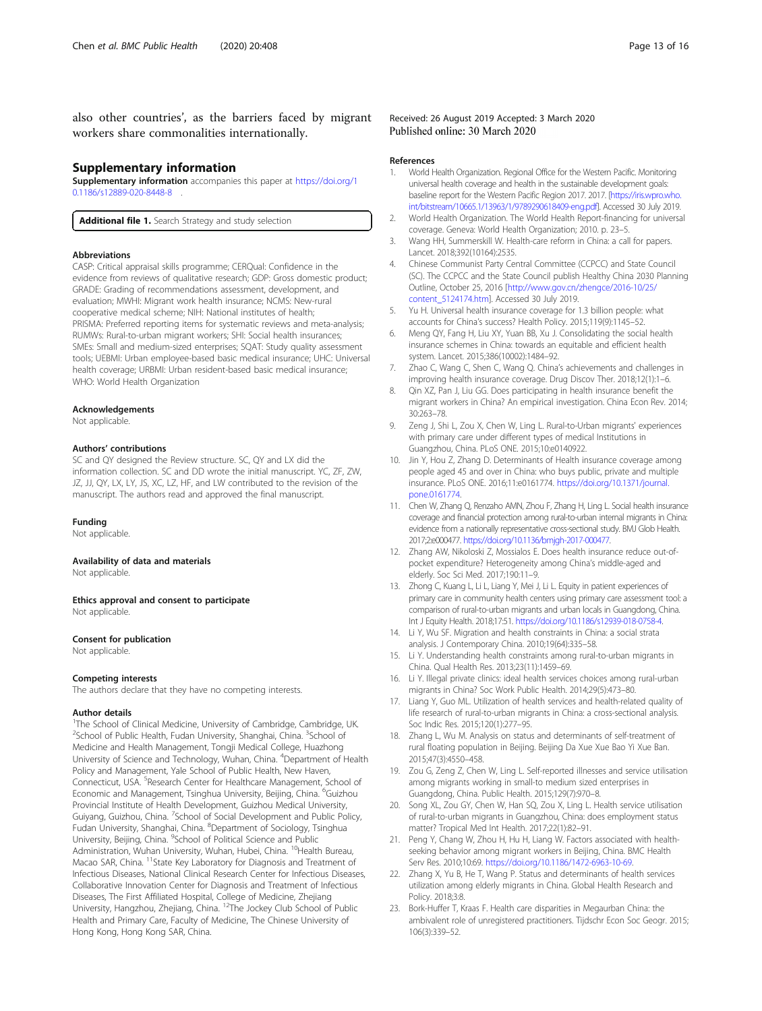<span id="page-12-0"></span>also other countries', as the barriers faced by migrant workers share commonalities internationally.

# Supplementary information

Supplementary information accompanies this paper at https://doi.org/1 0.1186/s12889-020-8448-8 .

Additional file 1. Search Strategy and study selection

### Abbreviations

CASP: Critical appraisal skills programme; CERQual: Confidence in the evidence from reviews of qualitative research; GDP: Gross domestic product; GRADE: Grading of recommendations assessment, development, and evaluation; MWHI: Migrant work health insurance; NCMS: New-rural cooperative medical scheme; NIH: National institutes of health; PRISMA: Preferred reporting items for systematic reviews and meta-analysis; RUMWs: Rural-to-urban migrant workers; SHI: Social health insurances; SMEs: Small and medium-sized enterprises; SQAT: Study quality assessment tools; UEBMI: Urban employee-based basic medical insurance; UHC: Universal health coverage; URBMI: Urban resident-based basic medical insurance; WHO: World Health Organization

#### **Acknowledgements**

Not applicable.

#### Authors' contributions

SC and QY designed the Review structure. SC, QY and LX did the information collection. SC and DD wrote the initial manuscript. YC, ZF, ZW, JZ, JJ, QY, LX, LY, JS, XC, LZ, HF, and LW contributed to the revision of the manuscript. The authors read and approved the final manuscript.

#### Funding

Not applicable.

Availability of data and materials

Not applicable

Ethics approval and consent to participate

Not applicable.

#### Consent for publication

Not applicable.

#### Competing interests

The authors declare that they have no competing interests.

#### Author details

<sup>1</sup>The School of Clinical Medicine, University of Cambridge, Cambridge, UK. <sup>2</sup>School of Public Health, Fudan University, Shanghai, China. <sup>3</sup>School of Medicine and Health Management, Tongji Medical College, Huazhong University of Science and Technology, Wuhan, China. <sup>4</sup>Department of Health Policy and Management, Yale School of Public Health, New Haven, Connecticut, USA. <sup>5</sup>Research Center for Healthcare Management, School of Economic and Management, Tsinghua University, Beijing, China. <sup>6</sup>Guizhou Provincial Institute of Health Development, Guizhou Medical University, Guiyang, Guizhou, China. <sup>7</sup>School of Social Development and Public Policy, Fudan University, Shanghai, China. <sup>8</sup>Department of Sociology, Tsinghua University, Beijing, China. <sup>9</sup>School of Political Science and Public Administration, Wuhan University, Wuhan, Hubei, China. <sup>10</sup>Health Bureau, Macao SAR, China. <sup>11</sup>State Key Laboratory for Diagnosis and Treatment of Infectious Diseases, National Clinical Research Center for Infectious Diseases, Collaborative Innovation Center for Diagnosis and Treatment of Infectious Diseases, The First Affiliated Hospital, College of Medicine, Zhejiang<br>University, Hangzhou, Zhejiang, China. <sup>12</sup>The Jockey Club School of Public Health and Primary Care, Faculty of Medicine, The Chinese University of Hong Kong, Hong Kong SAR, China.

Received: 26 August 2019 Accepted: 3 March 2020 Published online: 30 March 2020

#### References

- 1. World Health Organization. Regional Office for the Western Pacific. Monitoring universal health coverage and health in the sustainable development goals: baseline report for the Western Pacific Region 2017. 2017. [\[https://iris.wpro.who.](https://iris.wpro.who.int/bitstream/10665.1/13963/1/9789290618409-eng.pdf) [int/bitstream/10665.1/13963/1/9789290618409-eng.pdf\]](https://iris.wpro.who.int/bitstream/10665.1/13963/1/9789290618409-eng.pdf). Accessed 30 July 2019.
- 2. World Health Organization. The World Health Report-financing for universal coverage. Geneva: World Health Organization; 2010. p. 23–5.
- 3. Wang HH, Summerskill W. Health-care reform in China: a call for papers. Lancet. 2018;392(10164):2535.
- 4. Chinese Communist Party Central Committee (CCPCC) and State Council (SC). The CCPCC and the State Council publish Healthy China 2030 Planning Outline, October 25, 2016 [[http://www.gov.cn/zhengce/2016-10/25/](http://www.gov.cn/zhengce/2016-10/25/content_5124174.htm) [content\\_5124174.htm](http://www.gov.cn/zhengce/2016-10/25/content_5124174.htm)]. Accessed 30 July 2019.
- 5. Yu H. Universal health insurance coverage for 1.3 billion people: what accounts for China's success? Health Policy. 2015;119(9):1145–52.
- 6. Meng QY, Fang H, Liu XY, Yuan BB, Xu J. Consolidating the social health insurance schemes in China: towards an equitable and efficient health system. Lancet. 2015;386(10002):1484–92.
- 7. Zhao C, Wang C, Shen C, Wang Q. China's achievements and challenges in improving health insurance coverage. Drug Discov Ther. 2018;12(1):1–6.
- 8. Qin XZ, Pan J, Liu GG. Does participating in health insurance benefit the migrant workers in China? An empirical investigation. China Econ Rev. 2014; 30:263–78.
- 9. Zeng J, Shi L, Zou X, Chen W, Ling L. Rural-to-Urban migrants' experiences with primary care under different types of medical Institutions in Guangzhou, China. PLoS ONE. 2015;10:e0140922.
- 10. Jin Y, Hou Z, Zhang D. Determinants of Health insurance coverage among people aged 45 and over in China: who buys public, private and multiple insurance. PLoS ONE. 2016;11:e0161774. [https://doi.org/10.1371/journal.](https://doi.org/10.1371/journal.pone.0161774) [pone.0161774.](https://doi.org/10.1371/journal.pone.0161774)
- 11. Chen W, Zhang Q, Renzaho AMN, Zhou F, Zhang H, Ling L. Social health insurance coverage and financial protection among rural-to-urban internal migrants in China: evidence from a nationally representative cross-sectional study. BMJ Glob Health. 2017;2:e000477. <https://doi.org/10.1136/bmjgh-2017-000477>.
- 12. Zhang AW, Nikoloski Z, Mossialos E. Does health insurance reduce out-ofpocket expenditure? Heterogeneity among China's middle-aged and elderly. Soc Sci Med. 2017;190:11–9.
- 13. Zhong C, Kuang L, Li L, Liang Y, Mei J, Li L. Equity in patient experiences of primary care in community health centers using primary care assessment tool: a comparison of rural-to-urban migrants and urban locals in Guangdong, China. Int J Equity Health. 2018;17:51. <https://doi.org/10.1186/s12939-018-0758-4>.
- 14. Li Y, Wu SF. Migration and health constraints in China: a social strata analysis. J Contemporary China. 2010;19(64):335–58.
- 15. Li Y. Understanding health constraints among rural-to-urban migrants in China. Qual Health Res. 2013;23(11):1459–69.
- 16. Li Y. Illegal private clinics: ideal health services choices among rural-urban migrants in China? Soc Work Public Health. 2014;29(5):473–80.
- 17. Liang Y, Guo ML. Utilization of health services and health-related quality of life research of rural-to-urban migrants in China: a cross-sectional analysis. Soc Indic Res. 2015;120(1):277–95.
- 18. Zhang L, Wu M. Analysis on status and determinants of self-treatment of rural floating population in Beijing. Beijing Da Xue Xue Bao Yi Xue Ban. 2015;47(3):4550–458.
- 19. Zou G, Zeng Z, Chen W, Ling L. Self-reported illnesses and service utilisation among migrants working in small-to medium sized enterprises in Guangdong, China. Public Health. 2015;129(7):970–8.
- 20. Song XL, Zou GY, Chen W, Han SQ, Zou X, Ling L. Health service utilisation of rural-to-urban migrants in Guangzhou, China: does employment status matter? Tropical Med Int Health. 2017;22(1):82–91.
- 21. Peng Y, Chang W, Zhou H, Hu H, Liang W. Factors associated with healthseeking behavior among migrant workers in Beijing, China. BMC Health Serv Res. 2010;10:69. <https://doi.org/10.1186/1472-6963-10-69>.
- 22. Zhang X, Yu B, He T, Wang P. Status and determinants of health services utilization among elderly migrants in China. Global Health Research and Policy. 2018;3:8.
- 23. Bork-Huffer T, Kraas F. Health care disparities in Megaurban China: the ambivalent role of unregistered practitioners. Tijdschr Econ Soc Geogr. 2015; 106(3):339–52.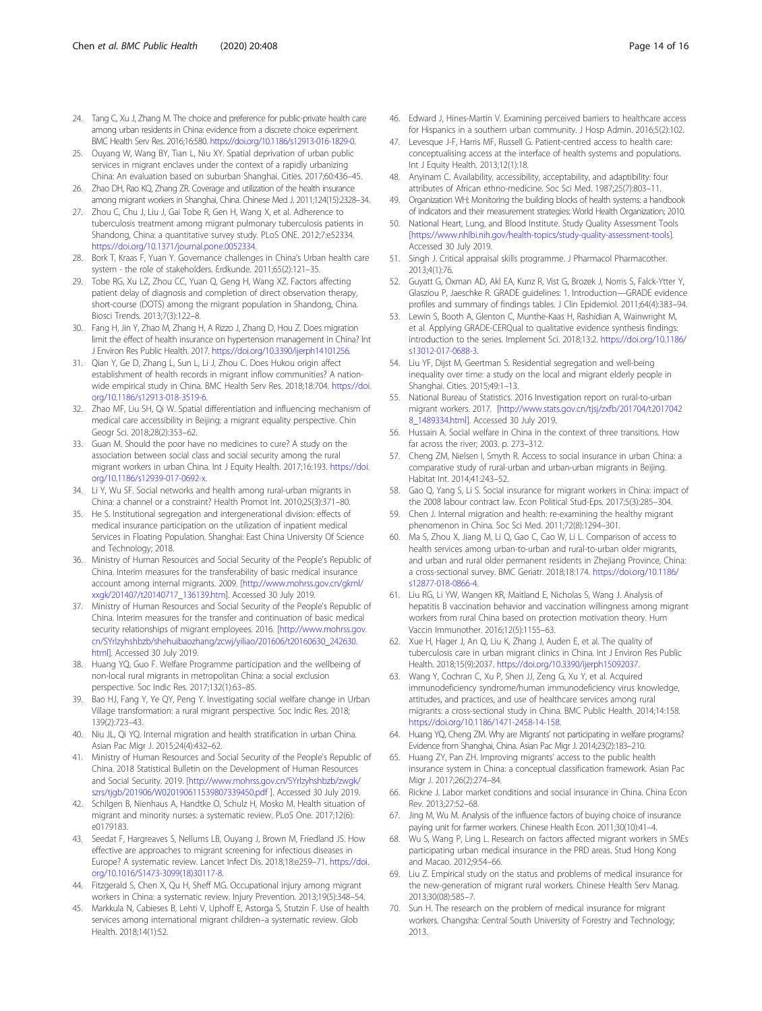- <span id="page-13-0"></span>24. Tang C, Xu J, Zhang M. The choice and preference for public-private health care among urban residents in China: evidence from a discrete choice experiment. BMC Health Serv Res. 2016;16:580. [https://doi.org/10.1186/s12913-016-1829-0.](https://doi.org/10.1186/s12913-016-1829-0)
- 25. Ouyang W, Wang BY, Tian L, Niu XY. Spatial deprivation of urban public services in migrant enclaves under the context of a rapidly urbanizing China: An evaluation based on suburban Shanghai. Cities. 2017;60:436–45.
- 26. Zhao DH, Rao KQ, Zhang ZR. Coverage and utilization of the health insurance among migrant workers in Shanghai, China. Chinese Med J. 2011;124(15):2328–34.
- 27. Zhou C, Chu J, Liu J, Gai Tobe R, Gen H, Wang X, et al. Adherence to tuberculosis treatment among migrant pulmonary tuberculosis patients in Shandong, China: a quantitative survey study. PLoS ONE. 2012;7:e52334. [https://doi.org/10.1371/journal.pone.0052334.](https://doi.org/10.1371/journal.pone.0052334)
- 28. Bork T, Kraas F, Yuan Y. Governance challenges in China's Urban health care system - the role of stakeholders. Erdkunde. 2011;65(2):121–35.
- 29. Tobe RG, Xu LZ, Zhou CC, Yuan Q, Geng H, Wang XZ. Factors affecting patient delay of diagnosis and completion of direct observation therapy, short-course (DOTS) among the migrant population in Shandong, China. Biosci Trends. 2013;7(3):122–8.
- 30. Fang H, Jin Y, Zhao M, Zhang H, A Rizzo J, Zhang D, Hou Z. Does migration limit the effect of health insurance on hypertension management in China? Int J Environ Res Public Health. 2017. [https://doi.org/10.3390/ijerph14101256.](https://doi.org/10.3390/ijerph14101256)
- 31. Qian Y, Ge D, Zhang L, Sun L, Li J, Zhou C. Does Hukou origin affect establishment of health records in migrant inflow communities? A nationwide empirical study in China. BMC Health Serv Res. 2018;18:704. [https://doi.](https://doi.org/10.1186/s12913-018-3519-6) [org/10.1186/s12913-018-3519-6](https://doi.org/10.1186/s12913-018-3519-6).
- 32. Zhao MF, Liu SH, Qi W. Spatial differentiation and influencing mechanism of medical care accessibility in Beijing: a migrant equality perspective. Chin Geogr Sci. 2018;28(2):353–62.
- 33. Guan M. Should the poor have no medicines to cure? A study on the association between social class and social security among the rural migrant workers in urban China. Int J Equity Health. 2017;16:193. [https://doi.](https://doi.org/10.1186/s12939-017-0692-x) [org/10.1186/s12939-017-0692-x.](https://doi.org/10.1186/s12939-017-0692-x)
- 34. Li Y, Wu SF. Social networks and health among rural-urban migrants in China: a channel or a constraint? Health Promot Int. 2010;25(3):371–80.
- 35. He S. Institutional segregation and intergenerational division: effects of medical insurance participation on the utilization of inpatient medical Services in Floating Population. Shanghai: East China University Of Science and Technology; 2018.
- 36. Ministry of Human Resources and Social Security of the People's Republic of China. Interim measures for the transferability of basic medical insurance account among internal migrants. 2009. [[http://www.mohrss.gov.cn/gkml/](http://www.mohrss.gov.cn/gkml/xxgk/201407/t20140717_136139.htm) [xxgk/201407/t20140717\\_136139.htm](http://www.mohrss.gov.cn/gkml/xxgk/201407/t20140717_136139.htm)]. Accessed 30 July 2019.
- 37. Ministry of Human Resources and Social Security of the People's Republic of China. Interim measures for the transfer and continuation of basic medical security relationships of migrant employees. 2016. [[http://www.mohrss.gov.](http://www.mohrss.gov.cn/SYrlzyhshbzb/shehuibaozhang/zcwj/yiliao/201601/t20160114_231766.html) [cn/SYrlzyhshbzb/shehuibaozhang/zcwj/yiliao/201606/t20160630\\_242630.](http://www.mohrss.gov.cn/SYrlzyhshbzb/shehuibaozhang/zcwj/yiliao/201601/t20160114_231766.html) [html\]](http://www.mohrss.gov.cn/SYrlzyhshbzb/shehuibaozhang/zcwj/yiliao/201601/t20160114_231766.html). Accessed 30 July 2019.
- 38. Huang YQ, Guo F. Welfare Programme participation and the wellbeing of non-local rural migrants in metropolitan China: a social exclusion perspective. Soc Indic Res. 2017;132(1):63–85.
- 39. Bao HJ, Fang Y, Ye QY, Peng Y. Investigating social welfare change in Urban Village transformation: a rural migrant perspective. Soc Indic Res. 2018; 139(2):723–43.
- 40. Niu JL, Qi YQ. Internal migration and health stratification in urban China. Asian Pac Migr J. 2015;24(4):432–62.
- 41. Ministry of Human Resources and Social Security of the People's Republic of China. 2018 Statistical Bulletin on the Development of Human Resources and Social Security. 2019. [[http://www.mohrss.gov.cn/SYrlzyhshbzb/zwgk/](http://www.mohrss.gov.cn/SYrlzyhshbzb/zwgk/szrs/tjgb/201906/W020190611539807339450.pdf) [szrs/tjgb/201906/W020190611539807339450.pdf](http://www.mohrss.gov.cn/SYrlzyhshbzb/zwgk/szrs/tjgb/201906/W020190611539807339450.pdf) ]. Accessed 30 July 2019.
- 42. Schilgen B, Nienhaus A, Handtke O, Schulz H, Mosko M. Health situation of migrant and minority nurses: a systematic review. PLoS One. 2017;12(6): e0179183.
- 43. Seedat F, Hargreaves S, Nellums LB, Ouyang J, Brown M, Friedland JS. How effective are approaches to migrant screening for infectious diseases in Europe? A systematic review. Lancet Infect Dis. 2018;18:e259–71. [https://doi.](https://doi.org/10.1016/S1473-3099(18)30117-8) [org/10.1016/S1473-3099\(18\)30117-8.](https://doi.org/10.1016/S1473-3099(18)30117-8)
- 44. Fitzgerald S, Chen X, Qu H, Sheff MG. Occupational injury among migrant workers in China: a systematic review. Injury Prevention. 2013;19(5):348–54.
- 45. Markkula N, Cabieses B, Lehti V, Uphoff E, Astorga S, Stutzin F. Use of health services among international migrant children–a systematic review. Glob Health. 2018;14(1):52.
- 46. Edward J, Hines-Martin V. Examining perceived barriers to healthcare access for Hispanics in a southern urban community. J Hosp Admin. 2016;5(2):102.
- 47. Levesque J-F, Harris MF, Russell G, Patient-centred access to health care: conceptualising access at the interface of health systems and populations. Int J Equity Health. 2013;12(1):18.
- 48. Anyinam C. Availability, accessibility, acceptability, and adaptibility: four attributes of African ethno-medicine. Soc Sci Med. 1987;25(7):803–11.
- 49. Organization WH: Monitoring the building blocks of health systems: a handbook of indicators and their measurement strategies: World Health Organization; 2010.
- 50. National Heart, Lung, and Blood Institute. Study Quality Assessment Tools [[https://www.nhlbi.nih.gov/health-topics/study-quality-assessment-tools\]](https://www.nhlbi.nih.gov/health-topics/study-quality-assessment-tools). Accessed 30 July 2019.
- 51. Singh J. Critical appraisal skills programme. J Pharmacol Pharmacother. 2013;4(1):76.
- 52. Guyatt G, Oxman AD, Akl EA, Kunz R, Vist G, Brozek J, Norris S, Falck-Ytter Y, Glasziou P, Jaeschke R. GRADE guidelines: 1. Introduction—GRADE evidence profiles and summary of findings tables. J Clin Epidemiol. 2011;64(4):383–94.
- 53. Lewin S, Booth A, Glenton C, Munthe-Kaas H, Rashidian A, Wainwright M, et al. Applying GRADE-CERQual to qualitative evidence synthesis findings: introduction to the series. Implement Sci. 2018;13:2. [https://doi.org/10.1186/](https://doi.org/10.1186/s13012-017-0688-3) [s13012-017-0688-3.](https://doi.org/10.1186/s13012-017-0688-3)
- 54. Liu YF, Dijst M, Geertman S. Residential segregation and well-being inequality over time: a study on the local and migrant elderly people in Shanghai. Cities. 2015;49:1–13.
- 55. National Bureau of Statistics. 2016 Investigation report on rural-to-urban migrant workers. 2017. [[http://www.stats.gov.cn/tjsj/zxfb/201704/t2017042](http://www.stats.gov.cn/tjsj/zxfb/201704/t20170428_1489334.html) [8\\_1489334.html\]](http://www.stats.gov.cn/tjsj/zxfb/201704/t20170428_1489334.html). Accessed 30 July 2019.
- 56. Hussain A. Social welfare in China in the context of three transitions. How far across the river; 2003. p. 273–312.
- 57. Cheng ZM, Nielsen I, Smyth R. Access to social insurance in urban China: a comparative study of rural-urban and urban-urban migrants in Beijing. Habitat Int. 2014;41:243–52.
- Gao Q, Yang S, Li S. Social insurance for migrant workers in China: impact of the 2008 labour contract law. Econ Political Stud-Eps. 2017;5(3):285–304.
- 59. Chen J. Internal migration and health: re-examining the healthy migrant phenomenon in China. Soc Sci Med. 2011;72(8):1294–301.
- 60. Ma S, Zhou X, Jiang M, Li Q, Gao C, Cao W, Li L. Comparison of access to health services among urban-to-urban and rural-to-urban older migrants, and urban and rural older permanent residents in Zhejiang Province, China: a cross-sectional survey. BMC Geriatr. 2018;18:174. [https://doi.org/10.1186/](https://doi.org/10.1186/s12877-018-0866-4) [s12877-018-0866-4.](https://doi.org/10.1186/s12877-018-0866-4)
- 61. Liu RG, Li YW, Wangen KR, Maitland E, Nicholas S, Wang J. Analysis of hepatitis B vaccination behavior and vaccination willingness among migrant workers from rural China based on protection motivation theory. Hum Vaccin Immunother. 2016;12(5):1155–63.
- 62. Xue H, Hager J, An Q, Liu K, Zhang J, Auden E, et al. The quality of tuberculosis care in urban migrant clinics in China. Int J Environ Res Public Health. 2018;15(9):2037. <https://doi.org/10.3390/ijerph15092037>.
- 63. Wang Y, Cochran C, Xu P, Shen JJ, Zeng G, Xu Y, et al. Acquired immunodeficiency syndrome/human immunodeficiency virus knowledge, attitudes, and practices, and use of healthcare services among rural migrants: a cross-sectional study in China. BMC Public Health. 2014;14:158. [https://doi.org/10.1186/1471-2458-14-158.](https://doi.org/10.1186/1471-2458-14-158)
- Huang YQ, Cheng ZM. Why are Migrants' not participating in welfare programs? Evidence from Shanghai, China. Asian Pac Migr J. 2014;23(2):183–210.
- 65. Huang ZY, Pan ZH. Improving migrants' access to the public health insurance system in China: a conceptual classification framework. Asian Pac Migr J. 2017;26(2):274–84.
- 66. Rickne J. Labor market conditions and social insurance in China. China Econ Rev. 2013;27:52–68.
- 67. Jing M, Wu M. Analysis of the influence factors of buying choice of insurance paying unit for farmer workers. Chinese Health Econ. 2011;30(10):41–4.
- Wu S, Wang P, Ling L. Research on factors affected migrant workers in SMEs participating urban medical insurance in the PRD areas. Stud Hong Kong and Macao. 2012;9:54–66.
- 69. Liu Z. Empirical study on the status and problems of medical insurance for the new-generation of migrant rural workers. Chinese Health Serv Manag. 2013;30(08):585–7.
- 70. Sun H. The research on the problem of medical insurance for migrant workers. Changsha: Central South University of Forestry and Technology; 2013.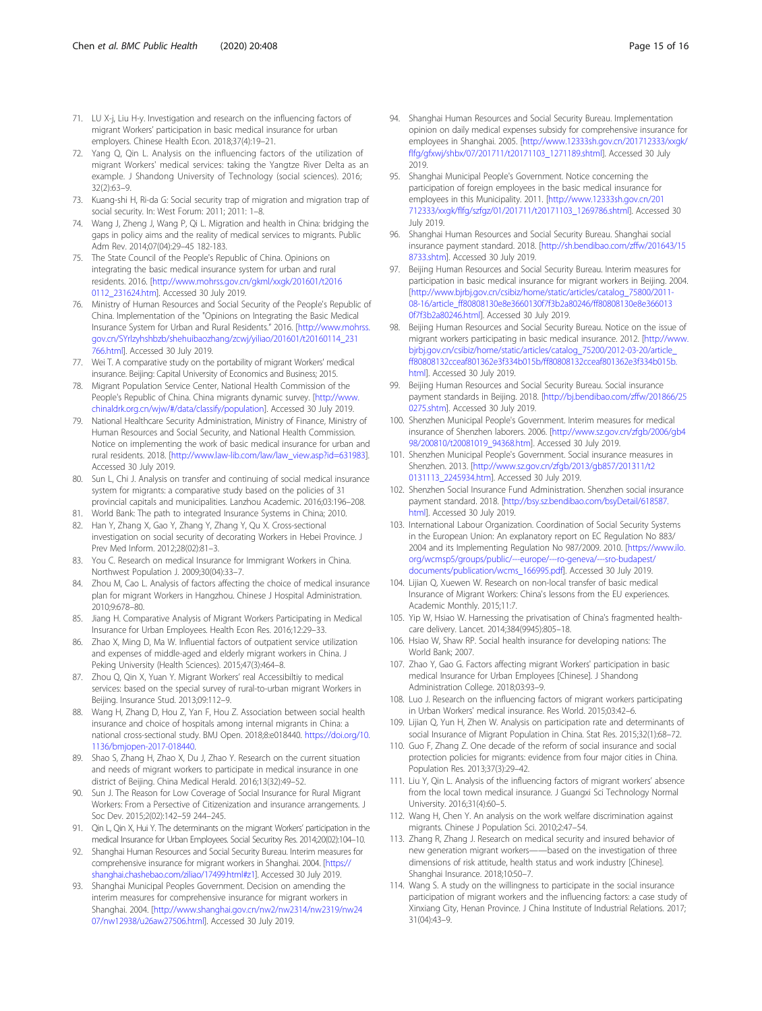- <span id="page-14-0"></span>71. LU X-j, Liu H-y. Investigation and research on the influencing factors of migrant Workers' participation in basic medical insurance for urban employers. Chinese Health Econ. 2018;37(4):19–21.
- 72. Yang Q, Qin L. Analysis on the influencing factors of the utilization of migrant Workers' medical services: taking the Yangtze River Delta as an example. J Shandong University of Technology (social sciences). 2016; 32(2):63–9.
- 73. Kuang-shi H, Ri-da G: Social security trap of migration and migration trap of social security. In: West Forum: 2011; 2011: 1–8.
- 74. Wang J, Zheng J, Wang P, Qi L. Migration and health in China: bridging the gaps in policy aims and the reality of medical services to migrants. Public Adm Rev. 2014;07(04):29–45 182-183.
- 75. The State Council of the People's Republic of China. Opinions on integrating the basic medical insurance system for urban and rural residents. 2016. [\[http://www.mohrss.gov.cn/gkml/xxgk/201601/t2016](http://www.mohrss.gov.cn/gkml/xxgk/201601/t20160112_231624.htm) [0112\\_231624.htm](http://www.mohrss.gov.cn/gkml/xxgk/201601/t20160112_231624.htm)]. Accessed 30 July 2019.
- 76. Ministry of Human Resources and Social Security of the People's Republic of China. Implementation of the "Opinions on Integrating the Basic Medical Insurance System for Urban and Rural Residents." 2016. [[http://www.mohrss.](http://www.mohrss.gov.cn/SYrlzyhshbzb/shehuibaozhang/zcwj/yiliao/201601/t20160114_231766.html) [gov.cn/SYrlzyhshbzb/shehuibaozhang/zcwj/yiliao/201601/t20160114\\_231](http://www.mohrss.gov.cn/SYrlzyhshbzb/shehuibaozhang/zcwj/yiliao/201601/t20160114_231766.html) [766.html](http://www.mohrss.gov.cn/SYrlzyhshbzb/shehuibaozhang/zcwj/yiliao/201601/t20160114_231766.html)]. Accessed 30 July 2019.
- 77. Wei T. A comparative study on the portability of migrant Workers' medical insurance. Beijing: Capital University of Economics and Business; 2015.
- 78. Migrant Population Service Center, National Health Commission of the People's Republic of China. China migrants dynamic survey. [\[http://www.](http://www.chinaldrk.org.cn/wjw/#/data/classify/population) [chinaldrk.org.cn/wjw/#/data/classify/population\]](http://www.chinaldrk.org.cn/wjw/#/data/classify/population). Accessed 30 July 2019.
- 79. National Healthcare Security Administration, Ministry of Finance, Ministry of Human Resources and Social Security, and National Health Commission. Notice on implementing the work of basic medical insurance for urban and rural residents. 2018. [[http://www.law-lib.com/law/law\\_view.asp?id=631983\]](http://www.law-lib.com/law/law_view.asp?id=631983). Accessed 30 July 2019.
- 80. Sun L, Chi J. Analysis on transfer and continuing of social medical insurance system for migrants: a comparative study based on the policies of 31 provincial capitals and municipalities. Lanzhou Academic. 2016;03:196–208.
- 81. World Bank: The path to integrated Insurance Systems in China; 2010.
- 82. Han Y, Zhang X, Gao Y, Zhang Y, Zhang Y, Qu X. Cross-sectional investigation on social security of decorating Workers in Hebei Province. J Prev Med Inform. 2012;28(02):81–3.
- 83. You C. Research on medical Insurance for Immigrant Workers in China. Northwest Population J. 2009;30(04):33–7.
- 84. Zhou M, Cao L. Analysis of factors affecting the choice of medical insurance plan for migrant Workers in Hangzhou. Chinese J Hospital Administration. 2010;9:678–80.
- 85. Jiang H. Comparative Analysis of Migrant Workers Participating in Medical Insurance for Urban Employees. Health Econ Res. 2016;12:29–33.
- 86. Zhao X, Ming D, Ma W. Influential factors of outpatient service utilization and expenses of middle-aged and elderly migrant workers in China. J Peking University (Health Sciences). 2015;47(3):464–8.
- 87. Zhou Q, Qin X, Yuan Y. Migrant Workers' real Accessibiltiy to medical services: based on the special survey of rural-to-urban migrant Workers in Beijing. Insurance Stud. 2013;09:112–9.
- 88. Wang H, Zhang D, Hou Z, Yan F, Hou Z. Association between social health insurance and choice of hospitals among internal migrants in China: a national cross-sectional study. BMJ Open. 2018;8:e018440. [https://doi.org/10.](https://doi.org/10.1136/bmjopen-2017-018440) [1136/bmjopen-2017-018440](https://doi.org/10.1136/bmjopen-2017-018440).
- 89. Shao S, Zhang H, Zhao X, Du J, Zhao Y. Research on the current situation and needs of migrant workers to participate in medical insurance in one district of Beijing. China Medical Herald. 2016;13(32):49–52.
- 90. Sun J. The Reason for Low Coverage of Social Insurance for Rural Migrant Workers: From a Persective of Citizenization and insurance arrangements. J Soc Dev. 2015;2(02):142–59 244–245.
- 91. Qin L, Qin X, Hui Y. The determinants on the migrant Workers' participation in the medical Insurance for Urban Employees. Social Securitxy Res. 2014;20(02):104–10.
- 92. Shanghai Human Resources and Social Security Bureau. Interim measures for comprehensive insurance for migrant workers in Shanghai. 2004. [\[https://](https://shanghai.chashebao.com/ziliao/17499.html#z1) [shanghai.chashebao.com/ziliao/17499.html#z1](https://shanghai.chashebao.com/ziliao/17499.html#z1)]. Accessed 30 July 2019.
- 93. Shanghai Municipal Peoples Government. Decision on amending the interim measures for comprehensive insurance for migrant workers in Shanghai. 2004. [\[http://www.shanghai.gov.cn/nw2/nw2314/nw2319/nw24](http://www.shanghai.gov.cn/nw2/nw2314/nw2319/nw2407/nw12938/u26aw27506.html) [07/nw12938/u26aw27506.html\]](http://www.shanghai.gov.cn/nw2/nw2314/nw2319/nw2407/nw12938/u26aw27506.html). Accessed 30 July 2019.
- 94. Shanghai Human Resources and Social Security Bureau. Implementation opinion on daily medical expenses subsidy for comprehensive insurance for employees in Shanghai. 2005. [[http://www.12333sh.gov.cn/201712333/xxgk/](http://www.12333sh.gov.cn/201712333/xxgk/flfg/gfxwj/shbx/07/201711/t20171103_1271189.shtml) [flfg/gfxwj/shbx/07/201711/t20171103\\_1271189.shtml\]](http://www.12333sh.gov.cn/201712333/xxgk/flfg/gfxwj/shbx/07/201711/t20171103_1271189.shtml). Accessed 30 July 2019.
- 95. Shanghai Municipal People's Government. Notice concerning the participation of foreign employees in the basic medical insurance for employees in this Municipality. 2011. [[http://www.12333sh.gov.cn/201](http://www.12333sh.gov.cn/201712333/xxgk/flfg/szfgz/01/201711/t20171103_1269786.shtml) [712333/xxgk/flfg/szfgz/01/201711/t20171103\\_1269786.shtml\]](http://www.12333sh.gov.cn/201712333/xxgk/flfg/szfgz/01/201711/t20171103_1269786.shtml). Accessed 30 July 2019.
- 96. Shanghai Human Resources and Social Security Bureau. Shanghai social insurance payment standard. 2018. [\[http://sh.bendibao.com/zffw/201643/15](http://sh.bendibao.com/zffw/201643/158733.shtm) [8733.shtm\]](http://sh.bendibao.com/zffw/201643/158733.shtm). Accessed 30 July 2019.
- Beijing Human Resources and Social Security Bureau. Interim measures for participation in basic medical insurance for migrant workers in Beijing. 2004. [[http://www.bjrbj.gov.cn/csibiz/home/static/articles/catalog\\_75800/2011-](http://www.bjrbj.gov.cn/csibiz/home/static/articles/catalog_75200/2012-03-20/article_ff80808132cceaf801362e3f334b015b/ff80808132cceaf801362e3f334b015b.html) [08-16/article\\_ff80808130e8e3660130f7f3b2a80246/ff80808130e8e366013](http://www.bjrbj.gov.cn/csibiz/home/static/articles/catalog_75200/2012-03-20/article_ff80808132cceaf801362e3f334b015b/ff80808132cceaf801362e3f334b015b.html) [0f7f3b2a80246.html\]](http://www.bjrbj.gov.cn/csibiz/home/static/articles/catalog_75200/2012-03-20/article_ff80808132cceaf801362e3f334b015b/ff80808132cceaf801362e3f334b015b.html). Accessed 30 July 2019.
- 98. Beijing Human Resources and Social Security Bureau. Notice on the issue of migrant workers participating in basic medical insurance. 2012. [[http://www.](http://www.bjrbj.gov.cn/csibiz/home/static/articles/catalog_75200/2012-03-20/article_ff80808132cceaf801362e3f334b015b/ff80808132cceaf801362e3f334b015b.html) [bjrbj.gov.cn/csibiz/home/static/articles/catalog\\_75200/2012-03-20/article\\_](http://www.bjrbj.gov.cn/csibiz/home/static/articles/catalog_75200/2012-03-20/article_ff80808132cceaf801362e3f334b015b/ff80808132cceaf801362e3f334b015b.html) [ff80808132cceaf801362e3f334b015b/ff80808132cceaf801362e3f334b015b.](http://www.bjrbj.gov.cn/csibiz/home/static/articles/catalog_75200/2012-03-20/article_ff80808132cceaf801362e3f334b015b/ff80808132cceaf801362e3f334b015b.html) [html\]](http://www.bjrbj.gov.cn/csibiz/home/static/articles/catalog_75200/2012-03-20/article_ff80808132cceaf801362e3f334b015b/ff80808132cceaf801362e3f334b015b.html). Accessed 30 July 2019.
- 99. Beijing Human Resources and Social Security Bureau. Social insurance payment standards in Beijing. 2018. [\[http://bj.bendibao.com/zffw/201866/25](http://bj.bendibao.com/zffw/201866/250275.shtm) [0275.shtm\]](http://bj.bendibao.com/zffw/201866/250275.shtm). Accessed 30 July 2019.
- 100. Shenzhen Municipal People's Government. Interim measures for medical insurance of Shenzhen laborers. 2006. [[http://www.sz.gov.cn/zfgb/2006/gb4](http://www.sz.gov.cn/zfgb/2006/gb498/200810/t20081019_94368.htm) [98/200810/t20081019\\_94368.htm\]](http://www.sz.gov.cn/zfgb/2006/gb498/200810/t20081019_94368.htm). Accessed 30 July 2019.
- 101. Shenzhen Municipal People's Government. Social insurance measures in Shenzhen. 2013. [[http://www.sz.gov.cn/zfgb/2013/gb857/201311/t2](http://www.sz.gov.cn/zfgb/2013/gb857/201311/t20131113_2245934.htm) [0131113\\_2245934.htm\]](http://www.sz.gov.cn/zfgb/2013/gb857/201311/t20131113_2245934.htm). Accessed 30 July 2019.
- 102. Shenzhen Social Insurance Fund Administration. Shenzhen social insurance payment standard. 2018. [[http://bsy.sz.bendibao.com/bsyDetail/618587.](http://bsy.sz.bendibao.com/bsyDetail/618587.html) [html\]](http://bsy.sz.bendibao.com/bsyDetail/618587.html). Accessed 30 July 2019.
- 103. International Labour Organization. Coordination of Social Security Systems in the European Union: An explanatory report on EC Regulation No 883/ 2004 and its Implementing Regulation No 987/2009. 2010. [[https://www.ilo.](https://www.ilo.org/wcmsp5/groups/public/---europe/---ro-geneva/---sro-budapest/documents/publication/wcms_166995.pdf) [org/wcmsp5/groups/public/---europe/---ro-geneva/---sro-budapest/](https://www.ilo.org/wcmsp5/groups/public/---europe/---ro-geneva/---sro-budapest/documents/publication/wcms_166995.pdf) [documents/publication/wcms\\_166995.pdf](https://www.ilo.org/wcmsp5/groups/public/---europe/---ro-geneva/---sro-budapest/documents/publication/wcms_166995.pdf)]. Accessed 30 July 2019.
- 104. Lijian Q, Xuewen W. Research on non-local transfer of basic medical Insurance of Migrant Workers: China's lessons from the EU experiences. Academic Monthly. 2015;11:7.
- 105. Yip W, Hsiao W. Harnessing the privatisation of China's fragmented healthcare delivery. Lancet. 2014;384(9945):805–18.
- 106. Hsiao W, Shaw RP. Social health insurance for developing nations: The World Bank; 2007.
- 107. Zhao Y, Gao G. Factors affecting migrant Workers' participation in basic medical Insurance for Urban Employees [Chinese]. J Shandong Administration College. 2018;03:93–9.
- 108. Luo J. Research on the influencing factors of migrant workers participating in Urban Workers' medical insurance. Res World. 2015;03:42–6.
- 109. Lijian Q, Yun H, Zhen W. Analysis on participation rate and determinants of social Insurance of Migrant Population in China. Stat Res. 2015;32(1):68–72.
- 110. Guo F, Zhang Z. One decade of the reform of social insurance and social protection policies for migrants: evidence from four major cities in China. Population Res. 2013;37(3):29–42.
- 111. Liu Y, Qin L. Analysis of the influencing factors of migrant workers' absence from the local town medical insurance. J Guangxi Sci Technology Normal University. 2016;31(4):60–5.
- 112. Wang H, Chen Y. An analysis on the work welfare discrimination against migrants. Chinese J Population Sci. 2010;2:47–54.
- 113. Zhang R, Zhang J. Research on medical security and insured behavior of new generation migrant workers——based on the investigation of three dimensions of risk attitude, health status and work industry [Chinese]. Shanghai Insurance. 2018;10:50–7.
- 114. Wang S. A study on the willingness to participate in the social insurance participation of migrant workers and the influencing factors: a case study of Xinxiang City, Henan Province. J China Institute of Industrial Relations. 2017; 31(04):43–9.